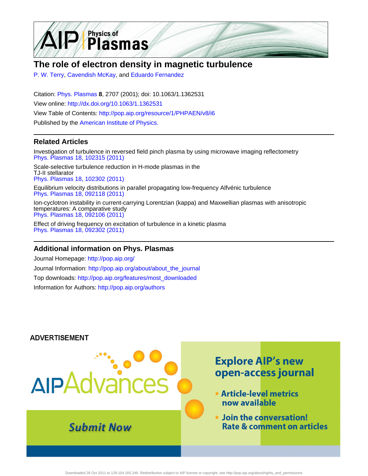

## **The role of electron density in magnetic turbulence**

[P. W. Terry,](http://pop.aip.org/search?sortby=newestdate&q=&searchzone=2&searchtype=searchin&faceted=faceted&key=AIP_ALL&possible1=P. W. Terry&possible1zone=author&alias=&displayid=AIP&ver=pdfcov) [Cavendish McKay,](http://pop.aip.org/search?sortby=newestdate&q=&searchzone=2&searchtype=searchin&faceted=faceted&key=AIP_ALL&possible1=Cavendish McKay&possible1zone=author&alias=&displayid=AIP&ver=pdfcov) and [Eduardo Fernandez](http://pop.aip.org/search?sortby=newestdate&q=&searchzone=2&searchtype=searchin&faceted=faceted&key=AIP_ALL&possible1=Eduardo Fernandez&possible1zone=author&alias=&displayid=AIP&ver=pdfcov)

Citation: [Phys. Plasmas](http://pop.aip.org/?ver=pdfcov) **8**, 2707 (2001); doi: 10.1063/1.1362531 View online: [http://dx.doi.org/10.1063/1.1362531](http://link.aip.org/link/doi/10.1063/1.1362531?ver=pdfcov) View Table of Contents: [http://pop.aip.org/resource/1/PHPAEN/v8/i6](http://pop.aip.org/resource/1/PHPAEN/v8/i6?ver=pdfcov) Published by the [American Institute of Physics.](http://www.aip.org/?ver=pdfcov)

## **Related Articles**

Investigation of turbulence in reversed field pinch plasma by using microwave imaging reflectometry [Phys. Plasmas 18, 102315 \(2011\)](http://link.aip.org/link/doi/10.1063/1.3652848?ver=pdfcov)

Scale-selective turbulence reduction in H-mode plasmas in the TJ-II stellarator [Phys. Plasmas 18, 102302 \(2011\)](http://link.aip.org/link/doi/10.1063/1.3646315?ver=pdfcov)

Equilibrium velocity distributions in parallel propagating low-frequency Alfvénic turbulence [Phys. Plasmas 18, 092118 \(2011\)](http://link.aip.org/link/doi/10.1063/1.3642617?ver=pdfcov)

Ion-cyclotron instability in current-carrying Lorentzian (kappa) and Maxwellian plasmas with anisotropic temperatures: A comparative study [Phys. Plasmas 18, 092106 \(2011\)](http://link.aip.org/link/doi/10.1063/1.3632974?ver=pdfcov)

Effect of driving frequency on excitation of turbulence in a kinetic plasma [Phys. Plasmas 18, 092302 \(2011\)](http://link.aip.org/link/doi/10.1063/1.3630926?ver=pdfcov)

## **Additional information on Phys. Plasmas**

Journal Homepage: [http://pop.aip.org/](http://pop.aip.org/?ver=pdfcov) Journal Information: [http://pop.aip.org/about/about\\_the\\_journal](http://pop.aip.org/about/about_the_journal?ver=pdfcov) Top downloads: [http://pop.aip.org/features/most\\_downloaded](http://pop.aip.org/features/most_downloaded?ver=pdfcov) Information for Authors: [http://pop.aip.org/authors](http://pop.aip.org/authors?ver=pdfcov)

### **ADVERTISEMENT**

# **Explore AIP's new** open-access journal AIPAdvar • Article-level metrics now available Join the conversation! **Submit Now Rate & comment on articles**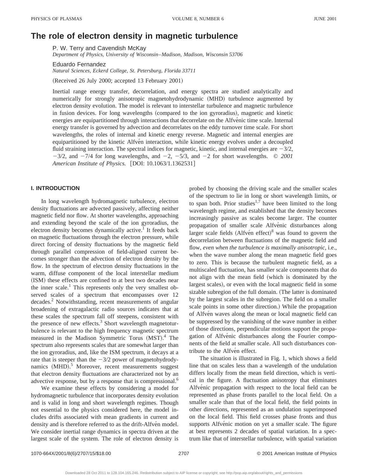## **The role of electron density in magnetic turbulence**

P. W. Terry and Cavendish McKay *Department of Physics, University of Wisconsin*–*Madison, Madison, Wisconsin 53706*

Eduardo Fernandez

*Natural Sciences, Eckerd College, St. Petersburg, Florida 33711*

(Received 26 July 2000; accepted 13 February 2001)

Inertial range energy transfer, decorrelation, and energy spectra are studied analytically and numerically for strongly anisotropic magnetohydrodynamic (MHD) turbulence augmented by electron density evolution. The model is relevant to interstellar turbulence and magnetic turbulence in fusion devices. For long wavelengths (compared to the ion gyroradius), magnetic and kinetic energies are equipartitioned through interactions that decorrelate on the Alfvénic time scale. Internal energy transfer is governed by advection and decorrelates on the eddy turnover time scale. For short wavelengths, the roles of internal and kinetic energy reverse. Magnetic and internal energies are equipartitioned by the kinetic Alfvén interaction, while kinetic energy evolves under a decoupled fluid straining interaction. The spectral indices for magnetic, kinetic, and internal energies are  $-3/2$ ,  $-3/2$ , and  $-7/4$  for long wavelengths, and  $-2$ ,  $-5/3$ , and  $-2$  for short wavelengths.  $\odot$  2001 *American Institute of Physics.* [DOI: 10.1063/1.1362531]

#### **I. INTRODUCTION**

In long wavelength hydromagnetic turbulence, electron density fluctuations are advected passively, affecting neither magnetic field nor flow. At shorter wavelengths, approaching and extending beyond the scale of the ion gyroradius, the electron density becomes dynamically active.<sup>1</sup> It feeds back on magnetic fluctuations through the electron pressure, while direct forcing of density fluctuations by the magnetic field through parallel compression of field-aligned current becomes stronger than the advection of electron density by the flow. In the spectrum of electron density fluctuations in the warm, diffuse component of the local interstellar medium (ISM) these effects are confined to at best two decades near the inner scale.<sup>1</sup> This represents only the very smallest observed scales of a spectrum that encompasses over 12 decades.<sup>2</sup> Notwithstanding, recent measurements of angular broadening of extragalactic radio sources indicates that at these scales the spectrum fall off steepens, consistent with the presence of new effects.<sup>3</sup> Short wavelength magnetoturbulence is relevant to the high frequency magnetic spectrum measured in the Madison Symmetric Torus (MST).<sup>4</sup> The spectrum also represents scales that are somewhat larger than the ion gyroradius, and, like the ISM spectrum, it decays at a rate that is steeper than the  $-3/2$  power of magnetohydrodynamics  $(MHD)$ .<sup>5</sup> Moreover, recent measurements suggest that electron density fluctuations are characterized not by an advective response, but by a response that is compressional.<sup>6</sup>

We examine these effects by considering a model for hydromagnetic turbulence that incorporates density evolution and is valid in long and short wavelength regimes. Though not essential to the physics considered here, the model includes drifts associated with mean gradients in current and density and is therefore referred to as the drift-Alfven model. We consider inertial range dynamics in spectra driven at the largest scale of the system. The role of electron density is

probed by choosing the driving scale and the smaller scales of the spectrum to lie in long or short wavelength limits, or to span both. Prior studies<sup>1,7</sup> have been limited to the long wavelength regime, and established that the density becomes increasingly passive as scales become larger. The counter propagation of smaller scale Alfvénic disturbances along larger scale fields (Alfvén effect) $8$  was found to govern the decorrelation between fluctuations of the magnetic field and flow, *even when the turbulence is maximally anisotropic*, i.e., when the wave number along the mean magnetic field goes to zero. This is because the turbulent magnetic field, as a multiscaled fluctuation, has smaller scale components that do not align with the mean field (which is dominated by the largest scales), or even with the local magnetic field in some sizable subregion of the full domain. (The latter is dominated by the largest scales in the subregion. The field on a smaller scale points in some other direction.) While the propagation of Alfvén waves along the mean or local magnetic field can be suppressed by the vanishing of the wave number in either of those directions, perpendicular motions support the propagation of Alfvénic disturbances along the Fourier components of the field at smaller scale. All such disturbances contribute to the Alfvén effect.

The situation is illustrated in Fig. 1, which shows a field line that on scales less than a wavelength of the undulation differs locally from the mean field direction, which is vertical in the figure. A fluctuation anisotropy that eliminates Alfvénic propagation with respect to the local field can be represented as phase fronts parallel to the local field. On a smaller scale than that of the local field, the field points in other directions, represented as an undulation superimposed on the local field. This field crosses phase fronts and thus supports Alfvénic motion on yet a smaller scale. The figure at best represents 2 decades of spatial variation. In a spectrum like that of interstellar turbulence, with spatial variation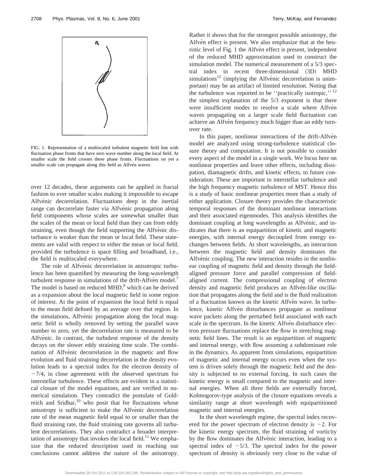

FIG. 1. Representation of a multiscaled turbulent magnetic field line with fluctuation phase fronts that have zero wave number along the local field. At smaller scale the field crosses these phase fronts. Fluctuations on yet a smaller scale can propagate along this field as Alfvén waves.

over 12 decades, these arguments can be applied in fractal fashion to ever smaller scales making it impossible to escape Alfvénic decorrelation. Fluctuations deep in the inertial range can decorrelate faster via Alfvénic propagation along field components whose scales are somewhat smaller than the scales of the mean or local field than they can from eddy straining, even though the field supporting the Alfvenic disturbance is weaker than the mean or local field. These statements are valid with respect to either the mean or local field, provided the turbulence is space filling and broadband, i.e., the field is multiscaled everywhere.

The role of Alfvenic decorrelation in anisotropic turbulence has been quantified by measuring the long-wavelength turbulent response in simulations of the drift-Alfven model.<sup>7</sup> The model is based on reduced  $MHD$ , which can be derived as a expansion about the local magnetic field in some region of interest. At the point of expansion the local field is equal to the mean field defined by an average over that region. In the simulations, Alfvénic propagation along the local magnetic field is wholly removed by setting the parallel wave number to zero, yet the decorrelation rate is measured to be Alfvenic. In contrast, the turbulent response of the density decays on the slower eddy straining time scale. The combination of Alfvénic decorrelation in the magnetic and flow evolution and fluid straining decorrelation in the density evolution leads to a spectral index for the electron density of  $-7/4$ , in close agreement with the observed spectrum for interstellar turbulence. These effects are evident in a statistical closure of the model equations, and are verified in numerical simulation. They contradict the postulate of Goldreich and Sridhar, $10$  who posit that for fluctuations whose anisotropy is sufficient to make the Alfvénic decorrelation rate of the mean magnetic field equal to or smaller than the fluid straining rate, the fluid straining rate governs all turbulent decorrelations. They also contradict a broader interpretation of anisotropy that invokes the local field.<sup>11</sup> We emphasize that the reduced description used in reaching our conclusions cannot address the nature of the anisotropy. Rather it shows that for the strongest possible anisotropy, the Alfvén effect is present. We also emphasize that at the heuristic level of Fig. 1 the Alfvén effect is present, independent of the reduced MHD approximation used to construct the simulation model. The numerical measurement of a 5/3 spectral index in recent three-dimensional (3D) MHD simulations<sup>12</sup> (implying the Alfvénic decorrelation is unimportant) may be an artifact of limited resolution. Noting that the turbulence was reported to be ''practically isotropic,'' <sup>12</sup> the simplest explanation of the 5/3 exponent is that there were insufficient modes to resolve a scale where Alfven waves propagating on a larger scale field fluctuation can achieve an Alfvén frequency much bigger than an eddy turnover rate.

In this paper, nonlinear interactions of the drift-Alfven model are analyzed using strong-turbulence statistical closure theory and computation. It is not possible to consider every aspect of the model in a single work. We focus here on nonlinear properties and leave other effects, including dissipation, diamagnetic drifts, and kinetic effects, to future consideration. These are important in interstellar turbulence and the high frequency magnetic turbulence of MST. Hence this is a study of basic nonlinear properties more than a study of either application. Closure theory provides the characteristic temporal responses of the dominant nonlinear interactions and their associated eigenmodes. This analysis identifies the dominant coupling at long wavelengths as Alfvenic, and indicates that there is an equipartition of kinetic and magnetic energies, with internal energy decoupled from energy exchanges between fields. At short wavelengths, an interaction between the magnetic field and density dominates the Alfvénic coupling. The new interaction resides in the nonlinear coupling of magnetic field and density through the fieldaligned pressure force and parallel compression of fieldaligned current. The compressional coupling of electron density and magnetic field produces an Alfvén-like oscillation that propagates along the field and is the fluid realization of a fluctuation known as the kinetic Alfvén wave. In turbulence, kinetic Alfvén disturbances propagate as nonlinear wave packets along the perturbed field associated with each scale in the spectrum. In the kinetic Alfvén disturbance electron pressure fluctuations replace the flow in stretching magnetic field lines. The result is an equipartition of magnetic and internal energy, with flow assuming a subdominant role in the dynamics. As apparent from simulations, equipartition of magnetic and internal energy occurs even when the system is driven solely through the magnetic field and the density is subjected to no external forcing. In such cases the kinetic energy is small compared to the magnetic and internal energies. When all three fields are externally forced, Kolmogorov-type analysis of the closure equations reveals a similarity range at short wavelength with equipartitioned magnetic and internal energies.

In the short wavelength regime, the spectral index recovered for the power spectrum of electron density is  $-2$ . For the kinetic energy spectrum, the fluid straining of vorticity by the flow dominates the Alfvénic interaction, leading to a spectral index of  $-5/3$ . The spectral index for the power spectrum of density is obviously very close to the value of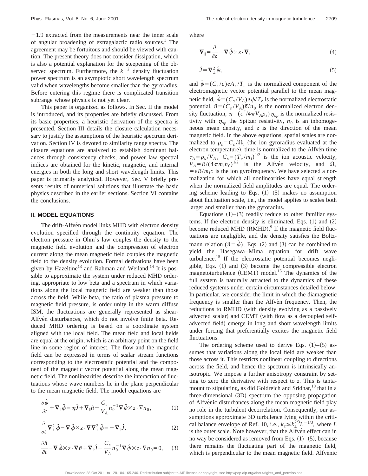$-1.9$  extracted from the measurements near the inner scale of angular broadening of extragalactic radio sources.<sup>3</sup> The agreement may be fortuitous and should be viewed with caution. The present theory does not consider dissipation, which is also a potential explanation for the steepening of the observed spectrum. Furthermore, the  $k^{-2}$  density fluctuation power spectrum is an asymptotic short wavelength spectrum valid when wavelengths become smaller than the gyroradius. Before entering this regime there is complicated transition subrange whose physics is not yet clear.

This paper is organized as follows. In Sec. II the model is introduced, and its properties are briefly discussed. From its basic properties, a heuristic derivation of the spectra is presented. Section III details the closure calculation necessary to justify the assumptions of the heuristic spectrum derivation. Section IV is devoted to similarity range spectra. The closure equations are analyzed to establish dominant balances through consistency checks, and power law spectral indices are obtained for the kinetic, magnetic, and internal energies in both the long and short wavelength limits. This paper is primarily analytical. However, Sec. V briefly presents results of numerical solutions that illustrate the basic physics described in the earlier sections. Section VI contains the conclusions.

#### **II. MODEL EQUATIONS**

The drift-Alfven model links MHD with electron density evolution specified through the continuity equation. The electron pressure in Ohm's law couples the density to the magnetic field evolution and the compression of electron current along the mean magnetic field couples the magnetic field to the density evolution. Formal derivations have been given by Hazeltine<sup>13</sup> and Rahman and Weiland.<sup>14</sup> It is possible to approximate the system under reduced MHD ordering, appropriate to low beta and a spectrum in which variations along the local magnetic field are weaker than those across the field. While beta, the ratio of plasma pressure to magnetic field pressure, is order unity in the warm diffuse ISM, the fluctuations are generally represented as shear-Alfvén disturbances, which do not involve finite beta. Reduced MHD ordering is based on a coordinate system aligned with the local field. The mean field and local fields are equal at the origin, which is an arbitrary point on the field line in some region of interest. The flow and the magnetic field can be expressed in terms of scalar stream functions corresponding to the electrostatic potential and the component of the magnetic vector potential along the mean magnetic field. The nonlinearities describe the interaction of fluctuations whose wave numbers lie in the plane perpendicular to the mean magnetic field. The model equations are

$$
\frac{\partial \hat{\psi}}{\partial t} + \nabla_{\parallel} \hat{\phi} = \eta \hat{J} + \nabla_{\parallel} \hat{n} + \frac{C_s}{V_A} n_0^{-1} \nabla \hat{\psi} \times z \cdot \nabla n_0, \qquad (1)
$$

$$
\frac{\partial}{\partial t} \nabla_{\perp}^2 \hat{\phi} - \nabla \hat{\phi} \times z \cdot \nabla \nabla_{\perp}^2 \hat{\phi} = - \nabla_{\parallel} \hat{J}, \tag{2}
$$

$$
\frac{\partial \hat{n}}{\partial t} - \nabla \hat{\phi} \times z \cdot \nabla \hat{n} + \nabla_{\parallel} \hat{J} - \frac{C_s}{V_A} n_0^{-1} \nabla \hat{\phi} \times z \cdot \nabla n_0 = 0, \quad (3)
$$

where

$$
\nabla_{\parallel} = \frac{\partial}{\partial z} + \nabla \hat{\psi} \times z \cdot \nabla, \tag{4}
$$

$$
\hat{J} = \nabla_{\perp}^2 \hat{\psi},\tag{5}
$$

and  $\hat{\psi} = (C_s/c)eA_z/T_e$  is the normalized component of the electromagnetic vector potential parallel to the mean magnetic field,  $\hat{\phi} = (C_s/V_A)e\phi/T_e$  is the normalized electrostatic potential,  $\hat{n} = (C_s / V_A) \tilde{n}/n_0$  is the normalized electron density fluctuation,  $\eta = (c^2/4\pi V_A \rho_s) \eta_{sp}$  is the normalized resistivity with  $\eta_{sp}$  the Spitzer resistivity,  $n_0$  is an inhomogeneous mean density, and *z* is the direction of the mean magnetic field. In the above equations, spatial scales are normalized to  $\rho_s = C_s / \Omega_i$  (the ion gyroradius evaluated at the electron temperature), time is normalized to the Alfvén time  $\tau_A = \rho_s / V_A$ ,  $C_s = (T_e / m_i)^{1/2}$  is the ion acoustic velocity,  $V_A = B/(4 \pi m_i n_0)^{1/2}$  is the Alfven velocity, and  $\Omega_i$  $=$  *eB*/ $m_i c$  is the ion gyrofrequency. We have selected a normalization for which all nonlinearities have equal strength when the normalized field amplitudes are equal. The ordering scheme leading to Eqs.  $(1)$ – $(5)$  makes no assumption about fluctuation scale, i.e., the model applies to scales both larger and smaller than the gyroradius.

Equations  $(1)$ – $(3)$  readily reduce to other familiar systems. If the electron density is eliminated, Eqs.  $(1)$  and  $(2)$ become reduced MHD  $(RMHD)$ .<sup>9</sup> If the magnetic field fluctuations are negligible, and the density satisfies the Boltzmann relation  $(\hat{n} = \hat{\phi})$ , Eqs. (2) and (3) can be combined to yield the Hasegawa–Mima equation for drift wave turbulence.<sup>15</sup> If the electrostatic potential becomes negligible, Eqs.  $(1)$  and  $(3)$  become the compressible electron magnetoturbulence (CEMT) model.<sup>16</sup> The dynamics of the full system is naturally attracted to the dynamics of these reduced systems under certain circumstances detailed below. In particular, we consider the limit in which the diamagnetic frequency is smaller than the Alfvén frequency. Then, the reductions to RMHD (with density evolving as a passively advected scalar) and CEMT (with flow as a decoupled selfadvected field) emerge in long and short wavelength limits under forcing that preferentially excites the magnetic field fluctuations.

The ordering scheme used to derive Eqs.  $(1)$ – $(5)$  assumes that variations along the local field are weaker than those across it. This restricts nonlinear coupling to directions across the field, and hence the spectrum is intrinsically anisotropic. We impose a further anisotropy constraint by setting to zero the derivative with respect to *z*. This is tantamount to stipulating, as did Goldreich and Sridhar,  $^{10}$  that in a three-dimensional (3D) spectrum the opposing propagation of Alfvénic disturbances along the mean magnetic field play no role in the turbulent decorrelation. Consequently, our assumptions approximate 3D turbulence lying within the critical balance envelope of Ref. 10, i.e.,  $k_z \leq k_{\perp}^{2/3} L^{-1/3}$ , where *L* is the outer scale. Note however, that the Alfven effect can in no way be considered as removed from Eqs.  $(1)$ – $(5)$ , because there remains the fluctuating part of the magnetic field, which is perpendicular to the mean magnetic field. Alfvenic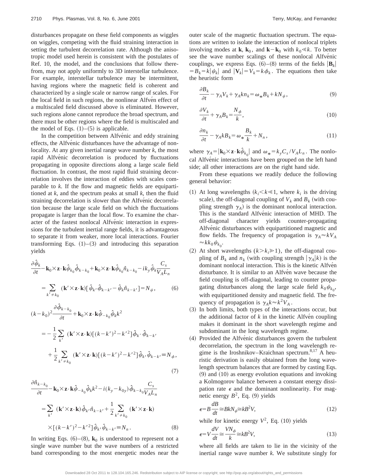disturbances propagate on these field components as wiggles on wiggles, competing with the fluid straining interaction in setting the turbulent decorrelation rate. Although the anisotropic model used herein is consistent with the postulates of Ref. 10, the model, and the conclusions that follow therefrom, may not apply uniformly to 3D interstellar turbulence. For example, interstellar turbulence may be intermittent, having regions where the magnetic field is coherent and characterized by a single scale or narrow range of scales. For the local field in such regions, the nonlinear Alfven effect of a multiscaled field discussed above is eliminated. However, such regions alone cannot reproduce the broad spectrum, and there must be other regions where the field is multiscaled and the model of Eqs.  $(1)$ – $(5)$  is applicable.

In the competition between Alfvenic and eddy straining effects, the Alfvénic disturbances have the advantage of nonlocality. At any given inertial range wave number *k*, the most rapid Alfvénic decorrelation is produced by fluctuations propagating in opposite directions along a large scale field fluctuation. In contrast, the most rapid fluid straining decorrelation involves the interaction of eddies with scales comparable to *k*. If the flow and magnetic fields are equipartitioned at *k*, and the spectrum peaks at small *k*, then the fluid straining decorrelation is slower than the Alfvénic decorrelation because the large scale field on which the fluctuations propagate is larger than the local flow. To examine the character of the fastest nonlocal Alfvénic interaction in expressions for the turbulent inertial range fields, it is advantageous to separate it from weaker, more local interactions. Fourier transforming Eqs.  $(1)$ – $(3)$  and introducing this separation yields

$$
\frac{\partial \hat{\psi}_k}{\partial t} - \mathbf{k}_0 \times \mathbf{z} \cdot \mathbf{k} \hat{\psi}_{k_0} \hat{\phi}_{k-k_0} + \mathbf{k}_0 \times \mathbf{z} \cdot \mathbf{k} \hat{\psi}_{k_0} \hat{n}_{k-k_0} - ik_y \hat{\psi}_k \frac{C_s}{V_A L_n}
$$
  
= 
$$
\sum_{k' \neq k_0} (\mathbf{k'} \times \mathbf{z} \cdot \mathbf{k}) [\hat{\psi}_{k'} \hat{\phi}_{k-k'} - \hat{\psi}_k \hat{n}_{k-k'}] = N_{\psi},
$$
 (6)

$$
(k - k_0)^2 \frac{\partial \phi_{k-k_0}}{\partial t} + \mathbf{k}_0 \times \mathbf{z} \cdot \mathbf{k} \hat{\psi}_{-k_0} \hat{\psi}_k k^2
$$
  
= 
$$
- \frac{1}{2} \sum_{k'} (\mathbf{k'} \times \mathbf{z} \cdot \mathbf{k}) [(k - k')^2 - k'^2] \hat{\phi}_k \cdot \hat{\phi}_{k-k'}
$$

$$
+ \frac{1}{2} \sum_{k' \neq k_0} (\mathbf{k'} \times \mathbf{z} \cdot \mathbf{k}) [(k - k')^2 - k'^2] \hat{\psi}_{k'} \hat{\psi}_{k-k'} = N_{\phi},
$$

$$
(7)
$$

$$
\frac{\partial \hat{n}_{k-k_0}}{\partial t} - \mathbf{k}_0 \times \mathbf{z} \cdot \mathbf{k} \hat{\psi}_{-k_0} \hat{\psi}_k k^2 - i(k_y - k_{0y}) \hat{\phi}_{k-k_0} \frac{C_s}{V_A L_n}
$$
  
\n
$$
= \sum_{k'} (\mathbf{k'} \times \mathbf{z} \cdot \mathbf{k}) \hat{\phi}_k \cdot \hat{n}_{k-k'} + \frac{1}{2} \sum_{k' \neq k_0} (\mathbf{k'} \times \mathbf{z} \cdot \mathbf{k})
$$
  
\n
$$
\times [(\kappa - k')^2 - k'^2] \hat{\psi}_{k'} \hat{\psi}_{k-k'} = N_n.
$$
 (8)

In writing Eqs.  $(6)$ – $(8)$ ,  $\mathbf{k}_0$  is understood to represent not a single wave number but the wave numbers of a restricted band corresponding to the most energetic modes near the outer scale of the magnetic fluctuation spectrum. The equations are written to isolate the interaction of nonlocal triplets involving modes at **k**, **k**<sub>0</sub>, and **k**-**k**<sub>0</sub> with  $k_0 \le k$ . To better see the wave number scalings of these nonlocal Alfvenic couplings, we express Eqs.  $(6)$ – $(8)$  terms of the fields  $|\mathbf{B}_k|$  $= B_k = k |\psi_k|$  and  $|\mathbf{V}_k| = V_k = k \phi_k$ . The equations then take the heuristic form

$$
\frac{\partial B_k}{\partial t} - \gamma_A V_k + \gamma_A k n_k = \omega_* B_k + k N_\psi, \qquad (9)
$$

$$
\frac{\partial V_k}{\partial t} + \gamma_A B_k = \frac{N_\phi}{k},\tag{10}
$$

$$
\frac{\partial n_k}{\partial t} - \gamma_A k B_k = \omega_* \frac{B_k}{k} + N_n, \qquad (11)
$$

where  $\gamma_A = |\mathbf{k}_0 \times \mathbf{z} \cdot \mathbf{k} \hat{\psi}_{k_0}|$  and  $\omega_* = k_y C_s / V_A L_n$ . The nonlocal Alfvénic interactions have been grouped on the left hand side; all other interactions are on the right hand side.

From these equations we readily deduce the following general behavior:

- (1) At long wavelengths  $(k_i < k \le 1$ , where  $k_i$  is the driving scale), the off-diagonal coupling of  $V_k$  and  $B_k$  (with coupling strength  $\gamma_A$ ) is the dominant nonlocal interaction. This is the standard Alfvenic interaction of MHD. The off-diagonal character yields counter-propagating Alfvénic disturbances with equipartitioned magnetic and flow fields. The frequency of propagation is  $\gamma_A \approx kV_A$  $\approx k k_0 \psi_{k_0}$ .
- (2) At short wavelengths  $(k > k<sub>i</sub> \ge 1)$ , the off-diagonal coupling of  $B_k$  and  $n_k$  (with coupling strength  $|\gamma_A|k$ ) is the dominant nonlocal interaction. This is the kinetic Alfven disturbance. It is similar to an Alfvén wave because the field coupling is off-diagonal, leading to counter propagating disturbances along the large scale field  $k_0 \psi_{k_0}$ , with equipartitioned density and magnetic field. The frequency of propagation is  $\gamma_A k \approx k^2 V_A$ .
- (3) In both limits, both types of the interactions occur, but the additional factor of  $k$  in the kinetic Alfven coupling makes it dominant in the short wavelength regime and subdominant in the long wavelength regime.
- (4) Provided the Alfvénic disturbances govern the turbulent decorrelation, the spectrum in the long wavelength regime is the Iroshnikov–Kraichnan spectrum. $8,17$  A heuristic derivation is easily obtained from the long wavelength spectrum balances that are formed by casting Eqs.  $(9)$  and  $(10)$  as energy evolution equations and invoking a Kolmogorov balance between a constant energy dissipation rate  $\epsilon$  and the dominant nonlinearity. For magnetic energy  $B^2$ , Eq. (9) yields

$$
\epsilon = B \frac{dB}{dt} \approx BkN_{\psi} \approx kB^2 V,\tag{12}
$$

while for kinetic energy  $V^2$ , Eq.  $(10)$  yields

$$
\epsilon = V \frac{dV}{dt} \approx \frac{VN_{\phi}}{k} \approx kB^2 V,\tag{13}
$$

where all fields are taken to lie in the vicinity of the inertial range wave number *k*. We substitute singly for

Downloaded 28 Oct 2011 to 128.104.165.246. Redistribution subject to AIP license or copyright; see http://pop.aip.org/about/rights\_and\_permissions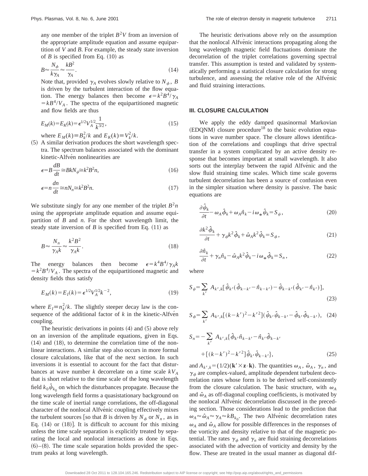any one member of the triplet  $B^2V$  from an inversion of the appropriate amplitude equation and assume equipartition of *V* and *B*. For example, the steady state inversion of *B* is specified from Eq.  $(10)$  as

$$
B \approx \frac{N_{\phi}}{k \gamma_A} \approx \frac{k B^2}{\gamma_A}.
$$
 (14)

Note that, provided  $\gamma_A$  evolves slowly relative to  $N_\phi$ , *B* is driven by the turbulent interaction of the flow equation. The energy balances then become  $\epsilon = k^2 B^4/\gamma_A$  $=kB^4/V_A$ . The spectra of the equipartitioned magnetic and flow fields are thus

$$
E_M(k) = E_K(k) = \epsilon^{1/2} V_A^{1/2} \frac{1}{k^{3/2}},
$$
\n(15)

where  $E_M(k) \equiv B_k^2/k$  and  $E_K(k) \equiv V_k^2/k$ .

 $(5)$  A similar derivation produces the short wavelength spectra. The spectrum balances associated with the dominant kinetic-Alfvén nonlinearities are

$$
\epsilon = B \frac{dB}{dt} \approx BkN_{\psi} \approx k^2 B^2 n,\tag{16}
$$

$$
\epsilon = n \frac{dn}{dt} \approx nN_n \approx k^2 B^2 n. \tag{17}
$$

We substitute singly for any one member of the triplet  $B^2n$ using the appropriate amplitude equation and assume equipartition of *B* and *n*. For the short wavelength limit, the steady state inversion of  $B$  is specified from Eq.  $(11)$  as

$$
B \approx \frac{N_n}{\gamma_A k} \approx \frac{k^2 B^2}{\gamma_A k}.
$$
 (18)

The energy balances then become  $\epsilon = k^4 B^4 / \gamma_A k$  $=k^2B^4/V_A$ . The spectra of the equipartitioned magnetic and density fields thus satisfy

$$
E_M(k) = E_I(k) = \epsilon^{1/2} V_A^{1/2} k^{-2},
$$
\n(19)

where  $E_I = n_k^2/k$ . The slightly steeper decay law is the consequence of the additional factor of  $k$  in the kinetic-Alfven coupling.

The heuristic derivations in points  $(4)$  and  $(5)$  above rely on an inversion of the amplitude equations, given in Eqs.  $(14)$  and  $(18)$ , to determine the correlation time of the nonlinear interactions. A similar step also occurs in more formal closure calculations, like that of the next section. In such inversions it is essential to account for the fact that disturbances at wave number *k* decorrelate on a time scale  $kV_A$ that is short relative to the time scale of the long wavelength field  $k_0 \hat{\psi}_{k_0}$  on which the disturbances propagate. Because the long wavelength field forms a quasistationary background on the time scale of inertial range correlations, the off-diagonal character of the nonlocal Alfvénic coupling effectively mixes the turbulent sources [so that *B* is driven by  $N_{\phi}$  or  $N_n$ , as in Eq.  $(14)$  or  $(18)$ ]. It is difficult to account for this mixing unless the time scale separation is explicitly treated by separating the local and nonlocal interactions as done in Eqs.  $(6)–(8)$ . The time scale separation holds provided the spectrum peaks at long wavelength.

The heuristic derivations above rely on the assumption that the nonlocal Alfvénic interactions propagating along the long wavelength magnetic field fluctuations dominate the decorrelation of the triplet correlations governing spectral transfer. This assumption is tested and validated by systematically performing a statistical closure calculation for strong turbulence, and assessing the relative role of the Alfvénic and fluid straining interactions.

#### **III. CLOSURE CALCULATION**

We apply the eddy damped quasinormal Markovian  $(EDOMM)$  closure procedure<sup>18</sup> to the basic evolution equations in wave number space. The closure allows identification of the correlations and couplings that drive spectral transfer in a system complicated by an active density response that becomes important at small wavelength. It also sorts out the interplay between the rapid Alfvénic and the slow fluid straining time scales. Which time scale governs turbulent decorrelation has been a source of confusion even in the simpler situation where density is passive. The basic equations are

$$
\frac{\partial \hat{\psi}_k}{\partial t} - \omega_A \hat{\phi}_k + \omega_A \hat{n}_k - i \omega_* \hat{\psi}_k = S_{\psi},\tag{20}
$$

$$
\frac{\partial k^2 \hat{\phi}_k}{\partial t} + \gamma_\phi k^2 \hat{\phi}_k + \hat{\omega}_A k^2 \hat{\psi}_k = S_\phi, \qquad (21)
$$

$$
\frac{\partial \hat{n}_k}{\partial t} + \gamma_n \hat{n}_k - \hat{\omega}_A k^2 \hat{\psi}_k - i \omega_* \hat{\phi}_k = S_n, \qquad (22)
$$

where

$$
S_{\psi} = \sum_{k'} A_{k',k} [\hat{\psi}_{k'} (\hat{\phi}_{k-k'} - \hat{n}_{k-k'}) - \hat{\psi}_{k-k'} (\hat{\phi}_{k'} - \hat{n}_{k'})],
$$
\n(23)

$$
S_{\phi} = \sum_{k'} A_{k',k} [(k - k')^2 - k'^2] (\hat{\psi}_{k'} \hat{\psi}_{k - k'} - \hat{\phi}_{k'} \hat{\phi}_{k - k'}), \quad (24)
$$

$$
S_n = -\sum_{k'} A_{k',k} \{ \hat{\phi}_{k'} \hat{n}_{k-k'} - \hat{n}_{k'} \hat{\phi}_{k-k'} + \left[ (k - k')^2 - k'^2 \right] \hat{\psi}_{k'} \hat{\psi}_{k-k'} \},
$$
(25)

and  $A_{k,k} = (1/2)(\mathbf{k}' \times \mathbf{z} \cdot \mathbf{k})$ . The quantities  $\omega_A$ ,  $\hat{\omega}_A$ ,  $\gamma_n$ , and  $\gamma_{\phi}$  are complex-valued, amplitude dependent turbulent decorrelation rates whose form is to be derived self-consistently from the closure calculation. The basic structure, with  $\omega_A$ and  $\hat{\omega}_A$  as off-diagonal coupling coefficients, is motivated by the nonlocal Alfvénic decorrelation discussed in the preceding section. Those considerations lead to the prediction that  $\omega_A \approx \hat{\omega}_A \approx \gamma_A \approx kB_{k_0}$ . The two Alfvénic decorrelation rates  $\omega_A$  and  $\hat{\omega}_A$  allow for possible differences in the responses of the vorticity and density relative to that of the magnetic potential. The rates  $\gamma_{\phi}$  and  $\gamma_n$  are fluid straining decorrelations associated with the advection of vorticity and density by the flow. These are treated in the usual manner as diagonal dif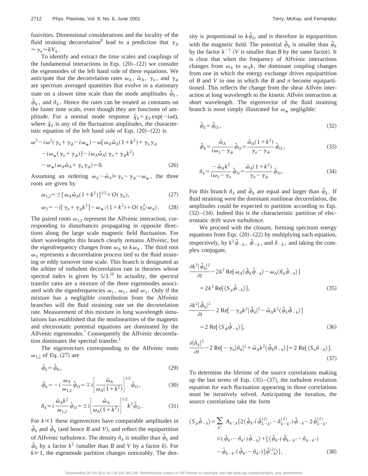fusivities. Dimensional considerations and the locality of the fluid straining decorrelation<sup>8</sup> lead to a prediction that  $\gamma_{\phi}$  $\approx \gamma_n \approx kV_k$ .

To identify and extract the time scales and couplings of the fundamental interactions in Eqs.  $(20)–(22)$  we consider the eigenmodes of the left hand side of these equations. We anticipate that the decorrelation rates  $\omega_A$ ,  $\hat{\omega}_A$ ,  $\gamma_n$ , and  $\gamma_\phi$ are spectrum averaged quantities that evolve in a stationary state on a slower time scale than the mode amplitudes  $\psi_k$ ,  $\hat{\phi}_k$ , and  $\hat{n}_k$ . Hence the rates can be treated as constants on the faster time scale, even though they are functions of amplitude. For a normal mode response  $\hat{\chi}_k = \chi_0 \exp(-i\omega t)$ , where  $\hat{\chi}_k$  is any of the fluctuation amplitudes, the characteristic equation of the left hand side of Eqs.  $(20)$ – $(22)$  is

$$
\omega^3 - i \omega^2 (\gamma_n + \gamma_\phi - i \omega_*) - \omega [\omega_A \hat{\omega}_A (1 + k^2) + \gamma_n \gamma_\phi
$$
  

$$
- i \omega_* (\gamma_n + \gamma_\phi)] - i \omega_A \hat{\omega}_A (\gamma_n + \gamma_\phi k^2)
$$
  

$$
- \omega_* (\omega_A \hat{\omega}_A + \gamma_n \gamma_\phi) = 0.
$$
 (26)

Assuming an ordering  $\omega_A \sim \hat{\omega}_A \gg \gamma_n \sim \gamma_\phi \sim \omega_*$ , the three roots are given by

$$
\omega_{1,2} = \pm \left[ \omega_A \hat{\omega}_A (1 + k^2) \right]^{1/2} + O(\gamma_n), \tag{27}
$$

$$
\omega_3 = -i[\gamma_n + \gamma_\phi k^2] - \omega_* / (1 + k^2) + O(\gamma_n^2 / \omega_A). \tag{28}
$$

The paired roots  $\omega_{12}$  represent the Alfve<sup>nic</sup> interaction, corresponding to disturbances propagating in opposite directions along the large scale magnetic field fluctuation. For short wavelengths this branch clearly remains Alfvénic, but the eigenfrequency changes from  $\omega_A$  to  $k\omega_A$ . The third root  $\omega_3$  represents a decorrelation process tied to the fluid straining or eddy turnover time scale. This branch is designated as the arbiter of turbulent decorrelation rate in theories whose spectral index is given by  $5/3$ .<sup>10</sup> In actuality, the spectral transfer rates are a mixture of the three eigenmodes associated with the eigenfrequencies  $\omega_1$ ,  $\omega_2$ , and  $\omega_3$ . Only if the mixture has a negligible contribution from the Alfvenic branches will the fluid straining rate set the decorrelation rate. Measurement of this mixture in long wavelength simulations has established that the nonlinearities of the magnetic and electrostatic potential equations are dominated by the Alfvénic eigenmodes.<sup>7</sup> Consequently the Alfvénic decorrelation dominates the spectral transfer.<sup>1</sup>

The eigenvectors corresponding to the Alfvenic roots  $\omega_{1,2}$  of Eq. (27) are

$$
\hat{\psi}_k = \hat{\psi}_0, \tag{29}
$$

$$
\hat{\phi}_k = -i \frac{\omega_A}{\omega_{1,2}} \hat{\psi}_O = \pm i \left[ \frac{\hat{\omega}_A}{\omega_A (1 + k^2)} \right]^{1/2} \hat{\psi}_O ,\qquad (30)
$$

$$
\hat{n}_{k} = i \frac{\hat{\omega}_{A} k^{2}}{\omega_{1,2}} \hat{\psi}_{O} = \pm i \left[ \frac{\hat{\omega}_{A}}{\omega_{A} (1 + k^{2})} \right]^{1/2} k^{2} \hat{\psi}_{O} . \tag{31}
$$

For  $k \leq 1$  these eigenvectors have comparable amplitudes in  $\hat{\psi}_k$  and  $\hat{\phi}_k$  (and hence *B* and *V*), and reflect the equipartition of Alfvénic turbulence. The density  $\hat{n}_k$  is smaller than  $\hat{\psi}_k$  and  $\hat{\phi}_k$  by a factor  $k^2$  (smaller than *B* and *V* by a factor *k*). For  $k \geq 1$ , the eigenmode partition changes noticeably. The density is proportional to  $k\hat{\psi}_O$  and is therefore in equipartition with the magnetic field. The potential  $\phi_k$  is smaller than  $\hat{\psi}_k$ by the factor  $k^{-1}$  (*V* is smaller than *B* by the same factor). It is clear that when the frequency of Alfvénic interactions changes from  $\omega_A$  to  $\omega_A k$ , the dominant coupling changes from one in which the energy exchange drives equipartition of *B* and *V* to one in which the *B* and *n* become equipartitioned. This reflects the change from the shear Alfven interaction at long wavelength to the kinetic Alfvén interaction at short wavelength. The eigenvector of the fluid straining branch is most simply illustrated for  $\omega_*$  negligible:

$$
\hat{\psi}_k = \hat{\psi}_O \,,\tag{32}
$$

$$
\hat{\phi}_k = \frac{\hat{\omega}_A}{i\omega_3 - \gamma_\phi} \hat{\psi}_O = \frac{\hat{\omega}_A (1 + k^2)}{\gamma_n - \gamma_\phi} \hat{\psi}_O \,,\tag{33}
$$

$$
\hat{n}_k = \frac{-\hat{\omega}_A k^2}{i\omega_3 - \gamma_n} \hat{\psi}_O = \frac{\hat{\omega}_A (1 + k^2)}{\gamma_n - \gamma_\phi} \hat{\psi}_O.
$$
\n(34)

For this branch  $\hat{n}_k$  and  $\hat{\phi}_k$  are equal and larger than  $\hat{\psi}_k$ . If fluid straining were the dominant nonlinear decorrelation, the amplitudes could be expected to partition according to Eqs.  $(32)–(34)$ . Indeed this is the characteristic partition of electrostatic drift wave turbulence.

We proceed with the closure, forming spectrum energy equations from Eqs.  $(20)$ – $(22)$  by multiplying each equation, respectively, by  $k^2\hat{\psi}_{-k}$ ,  $\hat{\phi}_{-k}$ , and  $\hat{n}_{-k}$ , and taking the complex conjugate,

$$
\frac{\partial k^2 |\hat{\psi}_k|^2}{\partial t} - 2k^2 \operatorname{Re}[\omega_A \langle \hat{\phi}_k \hat{\psi}_{-k} \rangle - \omega_A \langle \hat{n}_k \hat{\psi}_{-k} \rangle]
$$
  
=  $2k^2 \operatorname{Re}[\langle S_{\psi} \hat{\psi}_{-k} \rangle],$  (35)

$$
\frac{\partial k^2 |\hat{\phi}_k|^2}{\partial t} - 2 \operatorname{Re}[-\gamma_\phi k^2 |\hat{\phi}_k|^2 - \hat{\omega}_A k^2 \langle \hat{\psi}_k \hat{\phi}_{-k} \rangle]
$$
  
= 2 \operatorname{Re}[\langle S\_\phi \hat{\phi}\_{-k} \rangle], (36)

$$
\frac{\partial |\hat{n}_k|^2}{\partial t} - 2 \text{ Re}[-\gamma_n |\hat{n}_k|^2 + \hat{\omega}_A k^2 \langle \hat{\psi}_k \hat{n}_{-k} \rangle] = 2 \text{ Re}[\langle S_n \hat{n}_{-k} \rangle].
$$
\n(37)

To determine the lifetime of the source correlations making up the last terms of Eqs.  $(35)–(37)$ , the turbulent evolution equation for each fluctuation appearing in those correlations must be iteratively solved. Anticipating the iteration, the source correlations take the form

$$
\langle S_{\psi}\hat{\psi}_{-k}\rangle = \sum_{k'} A_{k',k} \{2\langle \hat{\psi}_{k'}(\hat{\phi}_{k-k'}^{(2)} - \hat{n}_{k-k'}^{(2)})\hat{\psi}_{-k} - 2\hat{\psi}_{k-k'}^{(2)}\rangle \times (\hat{\phi}_{k'} - \hat{n}_{k'})\hat{\psi}_{-k}\rangle + [\langle \hat{\psi}_{k'}(\hat{\phi}_{k-k'} - \hat{n}_{k-k'})\rangle - \hat{\psi}_{k-k'}(\hat{\phi}_{k'} - \hat{n}_{k'})]\hat{\psi}_{-k}^{(2)}\},
$$
(38)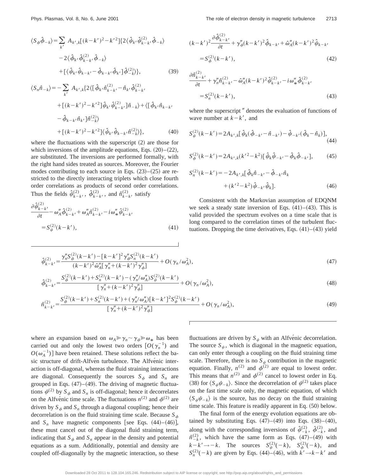$$
\langle S_n \hat{n}_{-k} \rangle = - \sum_{k'} A_{k',k} \{ 2 \langle \left[ \hat{\phi}_{k'} \hat{n}_{k-k'}^{(2)} - \hat{n}_{k'} \hat{\phi}_{k-k'}^{(2)} \right] \rangle + \left[ (k - k')^2 - k'^2 \right] \hat{\psi}_{k'} \hat{\psi}_{k-k'}^{(2)} \left[ \hat{n}_{-k} \right] + \langle \left[ \hat{\phi}_{k'} \hat{n}_{k-k'} \right] - \hat{\phi}_{k-k'} \hat{n}_{k'} \left[ \hat{n}_{-k}^{(2)} \right] \rangle + \left[ (k - k')^2 - k'^2 \right] \langle \hat{\psi}_{k'} \hat{\psi}_{k-k'} \hat{n}_{-k'}^{(2)} \rangle \}, \tag{40}
$$

where the fluctuations with the superscript  $(2)$  are those for which inversions of the amplitude equations, Eqs.  $(20)$ – $(22)$ , are substituted. The inversions are performed formally, with the right hand sides treated as sources. Moreover, the Fourier modes contributing to each source in Eqs.  $(23)–(25)$  are restricted to the directly interacting triplets which close fourth order correlations as products of second order correlations. Thus the fields  $\hat{\psi}_{k-k}^{(2)}$ ,  $\hat{\phi}_{k-k}^{(2)}$ , and  $\hat{n}_{k-k}^{(2)}$ , satisfy

$$
\frac{\partial \hat{\psi}_{k-k'}^{(2)}}{\partial t} - \omega_A'' \hat{\phi}_{k-k'}^{(2)}, + \omega_A'' \hat{n}_{k-k'}^{(2)} - i \omega_{*}'' \hat{\psi}_{k-k'}^{(2)}
$$
  
=  $S_{\psi}^{(2)}(k-k'),$  (41)

$$
(k-k')^{2} \frac{\partial \hat{\phi}_{k-k'}^{(2)}}{\partial t} + \gamma_{\phi}''(k-k')^{2} \hat{\phi}_{k-k'} + \hat{\omega}_{A}''(k-k')^{2} \hat{\psi}_{k-k'}
$$
  
=  $S_{\phi}^{(2)}(k-k'),$  (42)

$$
\frac{\partial \hat{n}_{k-k'}^{(2)}}{\partial t} + \gamma_n'' \hat{n}_{k-k'}^{(2)} - \hat{\omega}_A''(k-k')^2 \hat{\psi}_{k-k'}^{(2)} - i \omega_*'' \hat{\phi}_{k-k'}^{(2)}
$$
  
=  $S_n^{(2)}(k-k')$ , (43)

where the superscript  $''$  denotes the evaluation of functions of wave number at  $k-k'$ , and

$$
S_{\psi}^{(2)}(k-k') = 2A_{k',k}[\hat{\psi}_k(\hat{\phi}_{-k'}-\hat{n}_{-k'}) - \hat{\psi}_{-k'}(\hat{\phi}_k-\hat{n}_k)],
$$
\n(44)

$$
S_{\phi}^{(2)}(k-k') = 2A_{k',k}(k'^{2} - k^{2})[\hat{\psi}_{k}\hat{\psi}_{-k'} - \hat{\phi}_{k}\hat{\phi}_{-k'}],
$$
 (45)

$$
S_n^{(2)}(k-k') = -2A_{k',k}[\hat{\phi}_k \hat{n}_{-k'} - \hat{\phi}_{-k'} \hat{n}_k + (k'^2 - k^2)\hat{\psi}_{-k'} \hat{\psi}_k].
$$
\n(46)

Consistent with the Markovian assumption of EDQNM we seek a steady state inversion of Eqs.  $(41)–(43)$ . This is valid provided the spectrum evolves on a time scale that is long compared to the correlation times of the turbulent fluctuations. Dropping the time derivatives, Eqs.  $(41)–(43)$  yield

$$
\hat{\psi}_{k-k}^{(2)} = \frac{\gamma_n'' S_{\phi}^{(2)}(k-k') - [k-k']^2 \gamma_{\phi}'' S_n^{(2)}(k-k')}{(k-k')^2 \hat{\omega}_A'' [\gamma_n'' + (k-k')^2 \gamma_{\phi}'']} + O(\gamma_n / \omega_A^2),\tag{47}
$$

$$
\hat{\phi}_{k-k'}^{(2)} = \frac{S_{\phi}^{(2)}(k-k') + S_n^{(2)}(k-k') - (\gamma_n''/\omega_A'')S_{\psi}^{(2)}(k-k')}{\left[\gamma_n'' + (k-k')^2\gamma_{\phi}''\right]} + O(\gamma_n/\omega_A^2),\tag{48}
$$

$$
\hat{n}_{k-k'}^{(2)} = \frac{S_{\phi}^{(2)}(k-k') + S_n^{(2)}(k-k') + (\gamma_n'' \omega_A'') [k-k']^2 S_{\psi}^{(2)}(k-k')}{\left[\gamma_n'' + (k-k')^2 \gamma_{\phi}''\right]} + O(\gamma_n / \omega_A^2),\tag{49}
$$

where an expansion based on  $\omega_A \gg \gamma_n \sim \gamma_{\phi} \gg \omega_*$  has been carried out and only the lowest two orders  $[O(\gamma_n^{-1})$  and  $O(\omega_A^{-1})$ ] have been retained. These solutions reflect the basic structure of drift-Alfvén turbulence. The Alfvénic interaction is off-diagonal, whereas the fluid straining interactions are diagonal. Consequently the sources  $S_{\phi}$  and  $S_n$  are grouped in Eqs.  $(47)–(49)$ . The driving of magnetic fluctuations  $\psi^{(2)}$  by  $S_{\phi}$  and  $S_n$  is off-diagonal; hence it decorrelates on the Alfve<sup>nic</sup> time scale. The fluctuations  $n^{(2)}$  and  $\phi^{(2)}$  are driven by  $S_{\phi}$  and  $S_n$  through a diagonal coupling; hence their decorrelation is on the fluid straining time scale. Because  $S_{\phi}$ and  $S_n$  have magnetic components [see Eqs.  $(44)$ – $(46)$ ], these must cancel out of the diagonal fluid straining term, indicating that  $S_{\phi}$  and  $S_n$  appear in the density and potential equations as a sum. Additionally, potential and density are coupled off-diagonally by the magnetic interaction, so these

fluctuations are driven by  $S_{\psi}$  with an Alfve $\phi$ nic decorrelation. The source  $S_{\psi}$ , which is diagonal in the magnetic equation, can only enter through a coupling on the fluid straining time scale. Therefore, there is no  $S_{\psi}$  contribution in the magnetic equation. Finally,  $n^{(2)}$  and  $\phi^{(2)}$  are equal to lowest order. This means that  $n^{(2)}$  and  $\phi^{(2)}$  cancel to lowest order in Eq. (38) for  $\langle S_\psi \psi_{-k} \rangle$ . Since the decorrelation of  $\psi^{(2)}$  takes place on the fast time scale only, the magnetic equation, of which  $\langle S_{\mu\nu}\psi_{-\nu}\rangle$  is the source, has no decay on the fluid straining time scale. This feature is readily apparent in Eq.  $(50)$  below.

The final form of the energy evolution equations are obtained by substituting Eqs.  $(47)–(49)$  into Eqs.  $(38)–(40)$ , along with the corresponding inversions of  $\hat{\psi}^{(2)}_{-k}$ ,  $\hat{\phi}^{(2)}_{-k}$ , and  $\hat{n}_{-k}^{(2)}$ , which have the same form as Eqs.  $(47)-(49)$  with  $k-k' \rightarrow -k$ . The sources  $S_{\psi}^{(2)}(-k)$ ,  $S_{\phi}^{(2)}(-k)$ , and  $S_n^{(2)}(-k)$  are given by Eqs. (44)–(46), with  $k' \rightarrow k-k'$  and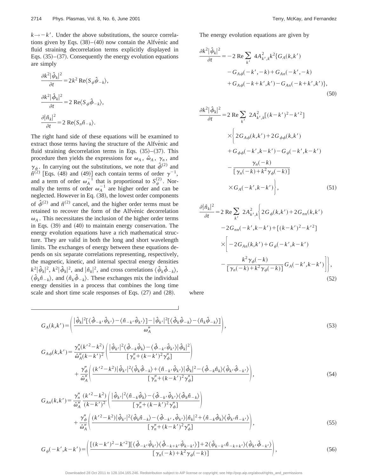$k \rightarrow -k'$ . Under the above substitutions, the source correlations given by Eqs.  $(38)–(40)$  now contain the Alfve $\acute{e}$ nic and fluid straining decorrelation terms explicitly displayed in Eqs.  $(35)$ – $(37)$ . Consequently the energy evolution equations are simply

$$
\frac{\partial k^2 |\hat{\psi}_k|^2}{\partial t} = 2k^2 \text{ Re}\langle S_{\psi} \hat{\psi}_{-k} \rangle,
$$

$$
\frac{\partial k^2 |\hat{\phi}_k|^2}{\partial t} = 2 \text{ Re}\langle S_{\phi} \hat{\phi}_{-k} \rangle,
$$

$$
\frac{\partial |\hat{n}_k|^2}{\partial t} = 2 \text{ Re}\langle S_n \hat{n}_{-k} \rangle.
$$

The right hand side of these equations will be examined to extract those terms having the structure of the Alfve $\acute{e}$ nic and fluid straining decorrelation terms in Eqs.  $(35)–(37)$ . This procedure then yields the expressions for  $\omega_A$ ,  $\hat{\omega}_A$ ,  $\gamma_n$ , and  $\gamma_{\phi}$ . In carrying out the substitutions, we note that  $\hat{\phi}^{(2)}$  and  $\hat{n}^{(2)}$  [Eqs. (48) and (49)] each contain terms of order  $\gamma^{-1}$ , and a term of order  $\omega_A^{-1}$  that is proportional to  $S_{\psi}^{(2)}$ . Normally the terms of order  $\omega_A^{-1}$  are higher order and can be neglected. However in Eq.  $(38)$ , the lowest order components of  $\hat{\phi}^{(2)}$  and  $\hat{n}^{(2)}$  cancel, and the higher order terms must be retained to recover the form of the Alfvénic decorrelation  $\omega_A$ . This necessitates the inclusion of the higher order terms in Eqs.  $(39)$  and  $(40)$  to maintain energy conservation. The energy evolution equations have a rich mathematical structure. They are valid in both the long and short wavelength limits. The exchanges of energy between these equations depends on six separate correlations representing, respectively, the magnetic, kinetic, and internal spectral energy densities  $k^2 |\hat{\psi}_k|^2$ ,  $k^2 |\hat{\phi}_k|^2$ , and  $|\hat{n}_k|^2$ , and cross correlations  $\langle \hat{\psi}_k \hat{\phi}_{-k} \rangle$ ,  $\langle \hat{\psi}_k \hat{n}_{-k} \rangle$ , and  $\langle \hat{n}_k \hat{\phi}_{-k} \rangle$ . These exchanges mix the individual energy densities in a process that combines the long time scale and short time scale responses of Eqs.  $(27)$  and  $(28)$ .

The energy evolution equations are given by

$$
\frac{\partial k^2 |\hat{\psi}_k|^2}{\partial t} = -2 \operatorname{Re} \sum_{k'} 4A_{k',k}^2 \{ G_A(k,k') - G_{A\phi}(-k',-k) + G_{A\phi}(-k',-k) + G_{A\phi}(-k+k',k') - G_{A\phi}(-k+k',k') \},
$$
\n(50)

$$
\frac{\partial k^2 |\phi_k|^2}{\partial t} = 2 \operatorname{Re} \sum_{k'} 2A_{k',k}^2 [(k-k')^2 - k'^2]
$$

$$
\times \left\{ 2G_{A\phi}(k,k') + 2G_{\phi\phi}(k,k') \right.
$$

$$
+ G_{\phi\phi}(-k',k-k') - G_{\psi}(-k',k-k')
$$

$$
- \frac{\gamma_n(-k)}{[\gamma_n(-k) + k^2 \gamma_\phi(-k)]}
$$

$$
\times G_A(-k',k-k') \left.\right\}, \tag{51}
$$

$$
\frac{\partial |\hat{n}_k|^2}{\partial t} = 2 \text{ Re} \sum_{k'} 2A_{k',k}^2 \Bigg\{ 2G_{\phi}(k,k') + 2G_{nn}(k,k') -2G_{nn}(-k',k-k') + [(k-k')^2 - k'^2] \Bigg\}
$$

$$
\times \Bigg[ -2G_{An}(k,k') + G_{\psi}(-k',k-k') - \frac{k^2 \gamma_{\phi}(-k)}{[\gamma_n(-k) + k^2 \gamma_{\phi}(-k)]} G_A(-k',k-k') \Bigg] \Bigg\}, \tag{52}
$$

where

$$
G_A(k,k') = \left( \frac{|\hat{\psi}_k|^2 [\langle \hat{\phi}_{-k'} \hat{\psi}_{k'} \rangle - \langle \hat{n}_{-k'} \hat{\psi}_{k'} \rangle] - |\hat{\psi}_{k'}|^2 [\langle \hat{\phi}_k \hat{\psi}_{-k} \rangle - \langle \hat{n}_k \hat{\psi}_{-k} \rangle]}{\omega_A''} \right),
$$
\n(53)

$$
G_{A\phi}(k,k') = \frac{\gamma_n''(k'^2 - k^2)}{\hat{\omega}_A''(k - k')^2} \left( \frac{|\hat{\psi}_{k'}|^2 \langle \hat{\phi}_{-k} \hat{\psi}_k \rangle - \langle \hat{\phi}_{-k'} \hat{\psi}_{k'} \rangle | \hat{\phi}_k|^2}{\left[\gamma_n'' + (k - k')^2 \gamma_{\phi}''\right]} \right) + \frac{\gamma_{\phi}''}{\hat{\omega}_A''} \left( \frac{(k'^2 - k^2)|\hat{\psi}_{k'}|^2 \langle \hat{\psi}_k \hat{\phi}_{-k} \rangle + \langle \hat{n}_{-k'} \hat{\psi}_{k'} \rangle | \hat{\phi}_k|^2 - \langle \hat{\phi}_{-k} \hat{n}_k \rangle \langle \hat{\psi}_{k'} \hat{\phi}_{-k'} \rangle}{\left[\gamma_n'' + (k - k')^2 \gamma_{\phi}''\right]},
$$
\n(54)

$$
G_{An}(k,k') = \frac{\gamma_n''}{\hat{\omega}_A''} \frac{(k'^2 - k^2)}{(k - k')^2} \left( \frac{|\hat{\psi}_{k'}|^2 \langle \hat{n}_{-k} \hat{\psi}_k \rangle - \langle \hat{\phi}_{-k'} \hat{\psi}_{k'} \rangle \langle \hat{\phi}_k \hat{n}_{-k} \rangle}{\left[\gamma_n'' + (k - k')^2 \gamma_{\phi}''\right]} \right) + \frac{\gamma_{\phi}''}{\hat{\omega}_A''} \left( \frac{(k'^2 - k^2)|\hat{\psi}_{k'}|^2 \langle \hat{\psi}_k \hat{n}_{-k} \rangle - \langle \hat{\phi}_{-k'}, \hat{\psi}_{k'} \rangle |\hat{n}_k|^2 + \langle \hat{n}_{-k} \hat{\phi}_k \rangle \langle \hat{\psi}_{k'} \hat{n}_{-k'} \rangle}{\left[\gamma_n'' + (k - k')^2 \gamma_{\phi}''\right]},
$$
\n(55)

$$
G_{\psi}(-k',k-k') = \left(\frac{\left[\left(k-k'\right)^2 - k'^2\right]\left[\left\langle\hat{\phi}_{-k},\hat{\psi}_{k'}\right\rangle\left\langle\hat{\phi}_{-k+k},\hat{\psi}_{k-k'}\right\rangle\right] + 2\left\langle\hat{\psi}_{k-k},\hat{n}_{-k+k'}\right\rangle\left\langle\hat{\psi}_{k},\hat{\phi}_{-k'}\right\rangle}{\left[\gamma_n(-k) + k^2\gamma_\phi(-k)\right]},
$$
\n(56)

Downloaded 28 Oct 2011 to 128.104.165.246. Redistribution subject to AIP license or copyright; see http://pop.aip.org/about/rights\_and\_permissions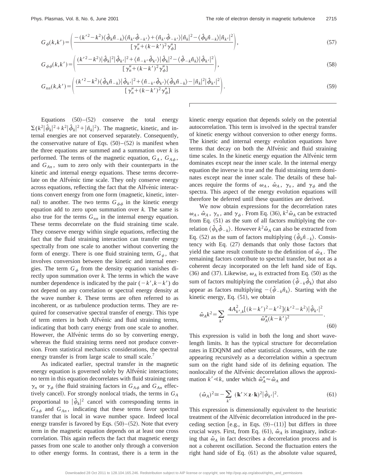$$
G_{\phi}(k,k') = \left(\frac{-(k'^2-k^2)\langle\hat{\phi}_k\hat{n}_{-k}\rangle\langle\hat{n}_k,\hat{\phi}_{-k'}\rangle + \langle\hat{n}_k,\hat{\phi}_{-k'}\rangle|\hat{n}_k|^2 - \langle\hat{\phi}_k\hat{n}_{-k}\rangle|\hat{n}_{k'}|^2}{\left[\gamma''_n + (k-k')^2\gamma''_{\phi}\right]}\right),\tag{57}
$$

$$
G_{\phi\phi}(k,k') = \left( \frac{(k'^2 - k^2)|\hat{\phi}_k|^2 |\hat{\phi}_{k'}|^2 + \langle \hat{n}_{-k'}\hat{\phi}_{k'} \rangle |\hat{\phi}_k|^2 - \langle \hat{\phi}_{-k}\hat{n}_k \rangle |\hat{\phi}_{k'}|^2}{[\gamma_n'' + (k - k')^2 \gamma_{\phi}'' ]} \right),
$$
\n(58)

$$
G_{nn}(k,k') = \left(\frac{(k'^2 - k^2)\langle\hat{\phi}_k\hat{n}_{-k}\rangle|\hat{\phi}_{k'}|^2 + \langle\hat{n}_{-k'}\hat{\phi}_{k'}\rangle\langle\hat{\phi}_k\hat{n}_{-k}\rangle - |\hat{n}_k|^2|\hat{\phi}_{k'}|^2}{\left[\gamma''_n + (k - k')^2\gamma''_{\phi}\right]}\right).
$$
(59)

Equations  $(50)$ – $(52)$  conserve the total energy  $\sum (k^2 |\hat{\psi}_k|^2 + k^2 |\hat{\phi}_k|^2 + |\hat{n}_k|^2)$ . The magnetic, kinetic, and internal energies are not conserved separately. Consequently, the conservative nature of Eqs.  $(50)$ – $(52)$  is manifest when the three equations are summed and a summation over *k* is performed. The terms of the magnetic equation,  $G_A$ ,  $G_{A\phi}$ , and  $G_{An}$ , sum to zero only with their counterparts in the kinetic and internal energy equations. These terms decorrelate on the Alfvenic time scale. They only conserve energy across equations, reflecting the fact that the Alfvenic interactions convert energy from one form (magnetic, kinetic, internal) to another. The two terms  $G_{\phi\phi}$  in the kinetic energy equation add to zero upon summation over *k*. The same is also true for the terms  $G_{nn}$  in the internal energy equation. These terms decorrelate on the fluid straining time scale. They conserve energy within single equations, reflecting the fact that the fluid straining interaction can transfer energy spectrally from one scale to another without converting the form of energy. There is one fluid straining term,  $G_{\psi}$ , that involves conversion between the kinetic and internal energies. The term  $G_{\phi}$  from the density equation vanishes directly upon summation over *k*. The terms in which the wave number dependence is indicated by the pair  $(-k^{\prime}, k-k^{\prime})$  do not depend on any correlation or spectral energy density at the wave number *k*. These terms are often referred to as incoherent, or as turbulence production terms. They are required for conservative spectral transfer of energy. This type of term enters in both Alfvénic and fluid straining terms, indicating that both carry energy from one scale to another. However, the Alfvénic terms do so by converting energy, whereas the fluid straining terms need not produce conversion. From statistical mechanics considerations, the spectral energy transfer is from large scale to small scale.<sup>7</sup>

As indicated earlier, spectral transfer in the magnetic energy equation is governed solely by Alfvénic interactions; no term in this equation decorrelates with fluid straining rates  $\gamma_n$  or  $\gamma_\phi$  (the fluid straining factors in  $G_{A\phi}$  and  $G_{An}$  effectively cancel). For strongly nonlocal triads, the terms in  $G_A$ proportional to  $|\hat{\psi}_k|^2$  cancel with corresponding terms in  $G_{A\phi}$  and  $G_{An}$ , indicating that these terms favor spectral transfer that is local in wave number space. Indeed local energy transfer is favored by Eqs.  $(50)–(52)$ . Note that every term in the magnetic equation depends on at least one cross correlation. This again reflects the fact that magnetic energy passes from one scale to another only through a conversion to other energy forms. In contrast, there is a term in the kinetic energy equation that depends solely on the potential autocorrelation. This term is involved in the spectral transfer of kinetic energy without conversion to other energy forms. The kinetic and internal energy evolution equations have terms that decay on both the Alfvenic and fluid straining time scales. In the kinetic energy equation the Alfvénic term dominates except near the inner scale. In the internal energy equation the inverse is true and the fluid straining term dominates except near the inner scale. The details of these balances require the forms of  $\omega_A$ ,  $\hat{\omega}_A$ ,  $\gamma_n$ , and  $\gamma_{\phi}$  and the spectra. This aspect of the energy evolution equations will therefore be deferred until these quantities are derived.

We now obtain expressions for the decorrelation rates  $\omega_A$ ,  $\hat{\omega}_A$ ,  $\gamma_n$ , and  $\gamma_\phi$ . From Eq. (36),  $k^2 \hat{\omega}_A$  can be extracted from Eq.  $(51)$  as the sum of all factors multiplying the correlation  $\langle \hat{\psi}_k \hat{\phi}_{-k} \rangle$ . However  $k^2 \hat{\omega}_A$  can also be extracted from Eq. (52) as the sum of factors multiplying  $\langle \hat{\psi}_k \hat{n}_{-k} \rangle$ . Consistency with Eq.  $(27)$  demands that only those factors that yield the same result contribute to the definition of  $\hat{\omega}_A$ . The remaining factors contribute to spectral transfer, but not as a coherent decay incorporated on the left hand side of Eqs.  $(36)$  and  $(37)$ . Likewise,  $\omega_A$  is extracted from Eq.  $(50)$  as the sum of factors multiplying the correlation  $\langle \hat{\psi}_k \hat{\phi}_k \rangle$  that also appear as factors multiplying  $-\langle \hat{\psi}_{-k} \hat{n}_k \rangle$ . Starting with the kinetic energy, Eq.  $(51)$ , we obtain

$$
\hat{\omega}_{A}k^{2} = \sum_{k'} \frac{4A_{k',k}^{2}[(k-k')^{2} - k'^{2}](k'^{2} - k^{2})|\hat{\psi}_{k'}|^{2}}{\hat{\omega}_{A}''(k-k')^{2}}.
$$
\n(60)

This expression is valid in both the long and short wavelength limits. It has the typical structure for decorrelation rates in EDQNM and other statistical closures, with the rate appearing recursively as a decorrelation within a spectrum sum on the right hand side of its defining equation. The nonlocality of the Alfvénic decorrelation allows the approximation  $k' \le k$ , under which  $\hat{\omega}_A'' \approx \hat{\omega}_A$  and

$$
(\hat{\omega}_A)^2 \cong -\sum_{k'} (\mathbf{k'} \times \mathbf{z} \cdot \mathbf{k})^2 |\hat{\psi}_{k'}|^2.
$$
 (61)

This expression is dimensionally equivalent to the heuristic treatment of the Alfvenic decorrelation introduced in the preceding section [e.g., in Eqs.  $(9)–(11)$ ] but differs in three crucial ways. First, from Eq.  $(61)$ ,  $\hat{\omega}_A$  is imaginary, indicating that  $\hat{\omega}_A$  in fact describes a decorrelation process and is not a coherent oscillation. Second the fluctuation enters the right hand side of Eq.  $(61)$  as the absolute value squared,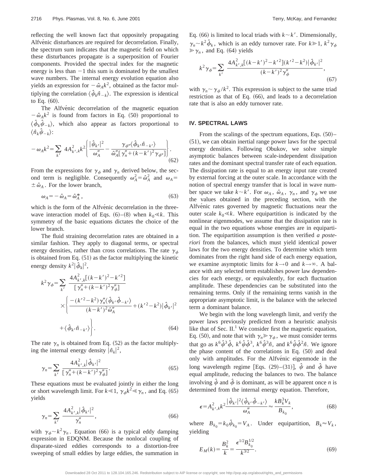reflecting the well known fact that oppositely propagating Alfvénic disturbances are required for decorrelation. Finally, the spectrum sum indicates that the magnetic field on which these disturbances propagate is a superposition of Fourier components. Provided the spectral index for the magnetic energy is less than  $-1$  this sum is dominated by the smallest wave numbers. The internal energy evolution equation also yields an expression for  $-\hat{\omega}_A k^2$ , obtained as the factor multiplying the correlation  $\langle \hat{\psi}_k \hat{n}_{-k} \rangle$ . The expression is identical to Eq.  $(60)$ .

The Alfvénic decorrelation of the magnetic equation  $-\hat{\omega}_A k^2$  is found from factors in Eq. (50) proportional to  $\langle \hat{\phi}_k \hat{\psi}_{-k} \rangle$ , which also appear as factors proportional to  $\langle \hat{n}_k \hat{\psi}_{-k} \rangle$ :

$$
-\omega_A k^2 = \sum_{k'} 4A_{k',k}^2 k^2 \left\{ \frac{|\hat{\psi}_{k'}|^2}{\omega_A''} - \frac{\gamma_{\phi''} \langle \hat{\phi}_{k'} \hat{n}_{-k'} \rangle}{\hat{\omega}_A'' \left[ \gamma_n'' + (k - k')^2 \gamma_{\phi''} \right]} \right\}.
$$
\n(62)

From the expressions for  $\gamma_{\phi}$  and  $\gamma_n$  derived below, the second term is negligible. Consequently  $\omega_A^2 = \hat{\omega}_A^2$  and  $\omega_A =$  $\pm \hat{\omega}_A$ . For the lower branch,

$$
\omega_A = -\hat{\omega}_A = \hat{\omega}_A^*,\tag{63}
$$

which is the form of the Alfvenic decorrelation in the threewave interaction model of Eqs.  $(6)-(8)$  when  $k_0 \ll k$ . This symmetry of the basic equations dictates the choice of the lower branch.

The fluid straining decorrelation rates are obtained in a similar fashion. They apply to diagonal terms, or spectral energy densities, rather than cross correlations. The rate  $\gamma_{\phi}$ is obtained from Eq.  $(51)$  as the factor multiplying the kinetic energy density  $k^2 |\hat{\phi}_k|^2$ ,

$$
k^{2}\gamma_{\phi} = \sum_{k'} \frac{4A_{k',k}^{2}[(k-k')^{2} - k'^{2}]}{[\gamma''_{n} + (k-k')^{2}\gamma''_{\phi}]}
$$
  
 
$$
\times \left\{ \frac{-(k'^{2} - k^{2})\gamma''_{n}(\hat{\psi}_{k'}\hat{\phi}_{-k'})}{(k-k')^{2}\hat{\omega}''_{A}} + (k'^{2} - k^{2})|\hat{\phi}_{k'}|^{2} + \langle \hat{\phi}_{k'}\hat{n}_{-k'} \rangle \right\}.
$$
 (64)

The rate  $\gamma_n$  is obtained from Eq. (52) as the factor multiplying the internal energy density  $|\hat{n}_k|^2$ ,

$$
\gamma_n = \sum_{k'} \frac{4A_{k',k}^2 |\hat{\phi}_{k'}|^2}{\left[\gamma_n'' + (k - k')^2 \gamma_{\phi}''\right]}.
$$
\n(65)

These equations must be evaluated jointly in either the long or short wavelength limit. For  $k \le 1$ ,  $\gamma_{\phi} k^2 \le \gamma_n$ , and Eq. (65) yields

$$
\gamma_n = \sum_{k'} \frac{4A_{k',k}^2 |\hat{\phi}_{k'}|^2}{\gamma_n''},\tag{66}
$$

with  $\gamma_{\phi} \sim k^2 \gamma_n$ . Equation (66) is a typical eddy damping expression in EDQNM. Because the nonlocal coupling of disparate-sized eddies corresponds to a distortion-free sweeping of small eddies by large eddies, the summation in Eq. (66) is limited to local triads with  $k \sim k'$ . Dimensionally,  $\gamma_n \sim k^2 \hat{\phi}_k$ , which is an eddy turnover rate. For  $k \ge 1$ ,  $k^2 \gamma_{\phi}$  $\gg \gamma_n$ , and Eq. (64) yields

$$
k^{2}\gamma_{\phi} = \sum_{k'} \frac{4A_{k',k}^{2}[(k-k')^{2} - k'^{2}](k'^{2} - k^{2})|\hat{\phi}_{k'}|^{2}}{(k-k')^{2}\gamma_{\phi}''},
$$
\n(67)

with  $\gamma_n \sim \gamma_\phi / k^2$ . This expression is subject to the same triad restriction as that of Eq.  $(66)$ , and leads to a decorrelation rate that is also an eddy turnover rate.

#### **IV. SPECTRAL LAWS**

From the scalings of the spectrum equations, Eqs.  $(50)$ –  $(51)$ , we can obtain inertial range power laws for the spectral energy densities. Following Obukov, we solve simple asymptotic balances between scale-independent dissipation rates and the dominant spectral transfer rate of each equation. The dissipation rate is equal to an energy input rate created by external forcing at the outer scale. In accordance with the notion of spectral energy transfer that is local in wave number space we take  $k \sim k'$ . For  $\omega_A$ ,  $\hat{\omega}_A$ ,  $\gamma_n$ , and  $\gamma_{\phi}$  we use the values obtained in the preceding section, with the Alfvénic rates governed by magnetic fluctuations near the outer scale  $k_0 \ll k$ . Where equipartition is indicated by the nonlinear eigenmodes, we assume that the dissipation rate is equal in the two equations whose energies are in equipartition. The equipartition assumption is then verified *a posteriori* from the balances, which must yield identical power laws for the two energy densities. To determine which term dominates from the right hand side of each energy equation, we examine asymptotic limits for  $k \rightarrow 0$  and  $k \rightarrow \infty$ . A balance with any selected term establishes power law dependencies for each energy, or equivalently, for each fluctuation amplitude. These dependencies can be substituted into the remaining terms. Only if the remaining terms vanish in the appropriate asymptotic limit, is the balance with the selected term a dominant balance.

We begin with the long wavelength limit, and verify the power laws previously predicted from a heuristic analysis like that of Sec.  $II<sup>1</sup>$  We consider first the magnetic equation, Eq. (50), and note that with  $\gamma_n \gg \gamma_\phi$ , we must consider terms that go as  $k^6 \hat{\psi}^3 \hat{\phi}$ ,  $k^6 \hat{\psi} \hat{\phi}^3$ ,  $k^6 \hat{\psi}^3 \hat{n}$ , and  $k^6 \hat{\psi} \hat{\phi}^2 \hat{n}$ . We ignore the phase content of the correlations in Eq.  $(50)$  and deal only with amplitudes. For the Alfvenic eigenmode in the long wavelength regime [Eqs.  $(29)–(31)$ ],  $\hat{\psi}$  and  $\hat{\phi}$  have equal amplitude, reducing the balances to two. The balance involving  $\hat{\psi}$  and  $\hat{\phi}$  is dominant, as will be apparent once *n* is determined from the internal energy equation. Therefore,

$$
\epsilon = A_{k',k}^2 k^2 \frac{|\hat{\psi}_{k'}|^2 \langle \hat{\psi}_{k'} \hat{\phi}_{-k'} \rangle}{\omega_A''} \approx \frac{k B_k^3 V_k}{B_{k_0}},
$$
(68)

where  $B_{k_0} = k_0 \hat{\psi}_{k_0} = V_A$ . Under equipartition,  $B_k \approx V_k$ , yielding

$$
E_M(k) = \frac{B_k^2}{k} = \frac{\epsilon^{1/2} B_{k_0}^{1/2}}{k^{3/2}}.
$$
 (69)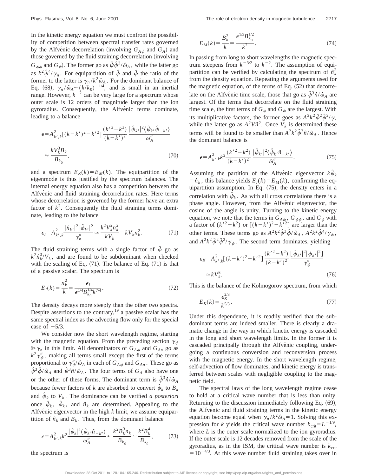In the kinetic energy equation we must confront the possibility of competition between spectral transfer rates governed by the Alfve $\phi$ nic decorrelation (involving  $G_{A\phi}$  and  $G_A$ ) and those governed by the fluid straining decorrelation (involving  $G_{\phi\phi}$  and  $G_{\psi}$ ). The former go as  $\hat{\psi}\hat{\phi}^3/\hat{\omega}_A$ , while the latter go as  $k^2\hat{\phi}^4/\gamma_n$ . For equipartition of  $\hat{\psi}$  and  $\hat{\phi}$  the ratio of the former to the latter is  $\gamma_n / k^2 \hat{\omega}_A$ . For the dominant balance of Eq. (68),  $\gamma_n / \hat{\omega}_A \sim (k/k_0)^{-1/4}$ , and is small in an inertial range. However,  $k^{-2}$  can be very large for a spectrum whose outer scale is 12 orders of magnitude larger than the ion gyroradius. Consequently, the Alfvénic terms dominate, leading to a balance

$$
\epsilon = A_{k',k}^2 [(k-k')^2 - k'^2] \frac{(k'^2 - k^2)}{(k-k')^2} \frac{|\hat{\phi}_{k'}|^2 \langle \hat{\psi}_{k'} \hat{\phi}_{-k'} \rangle}{\omega_A''}
$$
  

$$
\approx \frac{k V_k^3 B_k}{B_{k_0}},
$$
 (70)

and a spectrum  $E_K(k) = E_M(k)$ . The equipartition of the eigenmode is thus justified by the spectrum balances. The internal energy equation also has a competition between the Alfvénic and fluid straining decorrelation rates. Here terms whose decorrelation is governed by the former have an extra factor of  $k^2$ . Consequently the fluid straining terms dominate, leading to the balance

$$
\epsilon_{I} = A_{k',k}^{2} \frac{|\hat{n}_{k'}|^{2} |\hat{\phi}_{k'}|^{2}}{\gamma_{n}''} \approx \frac{k^{2} V_{k}^{2} n_{k}^{2}}{k V_{k}} = k V_{k} n_{k}^{2}.
$$
 (71)

The fluid straining terms with a single factor of  $\phi$  go as  $k^2 \hat{n}_k^3 / V_k$ , and are found to be subdominant when checked with the scaling of Eq.  $(71)$ . The balance of Eq.  $(71)$  is that of a passive scalar. The spectrum is

$$
E_I(k) = \frac{n_k^2}{k} = \frac{\epsilon_I}{\epsilon^{1/4} B_{k_0}^{1/4} k^{7/4}}.
$$
 (72)

The density decays more steeply than the other two spectra. Despite assertions to the contrary,  $^{19}$  a passive scalar has the same spectral index as the advecting flow only for the special case of  $-5/3$ .

We consider now the short wavelength regime, starting with the magnetic equation. From the preceding section  $\gamma_{\phi}$  $\gg \gamma_n$  in this limit. All denominators of  $G_{A\phi}$  and  $G_{An}$  go as  $k^2\gamma_\phi''$ , making all terms small except the first of the terms proportional to  $\gamma''_{\phi}/\hat{\omega}_A$  in each of  $G_{A\phi}$  and  $G_{An}$ . These go as  $\hat{\psi}^3 \hat{\phi}/\hat{\omega}_A$  and  $\hat{\psi}^3 \hat{n}/\hat{\omega}_A$ . The four terms of  $G_A$  also have one or the other of these forms. The dominant term is  $\hat{\psi}^3 \hat{n}/\hat{\omega}_A$ because fewer factors of *k* are absorbed to convert  $\hat{\psi}_k$  to  $B_k$ and  $\hat{\phi}_k$  to  $V_k$ . The dominance can be verified *a posteriori* once  $\hat{\psi}_k$ ,  $\hat{\phi}_k$ , and  $\hat{n}_k$  are determined. Appealing to the Alfve $\phi$  is eigenvector in the high  $k$  limit, we assume equipartition of  $\hat{n}_k$  and  $B_k$ . Thus, from the dominant balance

$$
\epsilon = A_{k',k}^2 k^2 \frac{|\hat{\psi}_k|^2 \langle \hat{\psi}_{k''} \hat{n}_{-k''} \rangle}{\omega_A''} \approx \frac{k^2 B_k^3 n_k}{B_{k_0}} \approx \frac{k^2 B_k^4}{B_{k_0}},\tag{73}
$$

the spectrum is

$$
E_M(k) = \frac{B_k^2}{k} = \frac{\epsilon^{1/2} B_{k_0}^{1/2}}{k^2}.
$$
 (74)

In passing from long to short wavelengths the magnetic spectrum steepens from  $k^{-3/2}$  to  $k^{-2}$ . The assumption of equipartition can be verified by calculating the spectrum of  $\hat{n}_k^2$ from the density equation. Repeating the arguments used for the magnetic equation, of the terms of Eq.  $(52)$  that decorrelate on the Alfve<sup>nic</sup> time scale, those that go as  $\hat{\psi}^3 \hat{n}/\hat{\omega}_A$  are largest. Of the terms that decorrelate on the fluid straining time scale, the first terms of  $G_{\psi}$  and  $G_{\phi}$  are the largest. With its multiplicative factors, the former goes as  $A^2k^2\hat{\phi}^2\hat{\psi}^2/\gamma$ , while the latter go as  $A^2V\hat{n}^2$ . Once  $V_k$  is determined these terms will be found to be smaller than  $A^2 k^2 \hat{\psi}^3 \hat{n}/\hat{\omega}_4$ . Hence the dominant balance is

$$
\epsilon = A_{k',k}^2 k^2 \frac{(k'^2 - k^2)}{(k - k')^2} \frac{|\psi_{k'}|^2 \langle \psi_{k'} \hat{n}_{-k'} \rangle}{\hat{\omega}_A''}.
$$
 (75)

Assuming the partition of the Alfve<sup>nic</sup> eigenvector  $k\hat{\psi}_k$  $=\hat{n}_k$ , this balance yields  $E_I(k) = E_M(k)$ , confirming the equipartition assumption. In Eq.  $(75)$ , the density enters in a correlation with  $\hat{\psi}_k$ . As with all cross correlations there is a phase angle. However, from the Alfvénic eigenvector, the cosine of the angle is unity. Turning to the kinetic energy equation, we note that the terms in  $G_{A\phi}$ ,  $G_{\phi\phi}$ , and  $G_{\psi}$  with a factor of  $(k'^2 - k^2)$  or  $[(k - k')^2 - k'^2]$  are larger than the other terms. These terms go as  $A^2 k^2 \hat{\psi}^3 \hat{\phi} / \hat{\omega}_A$ ,  $A^2 k^2 \hat{\phi}^4 / \gamma_{\phi}$ , and  $A^2k^2\hat{\phi}^2\hat{\psi}^2/\gamma_{\phi}$ . The second term dominates, yielding

$$
\epsilon_{K} = A_{k',k}^{2} [(k-k')^{2} - k'^{2}] \frac{(k'^{2} - k^{2})}{(k-k')^{2}} \frac{[\partial_{k'}|^{2} |\phi_{k'}|^{2}]}{\gamma''_{\phi}}
$$
  

$$
\approx kV_{k}^{3}.
$$
 (76)

This is the balance of the Kolmogorov spectrum, from which

$$
E_K(k) = \frac{\epsilon_K^{2/3}}{k^{5/3}}.\tag{77}
$$

Under this dependence, it is readily verified that the subdominant terms are indeed smaller. There is clearly a dramatic change in the way in which kinetic energy is cascaded in the long and short wavelength limits. In the former it is cascaded principally through the Alfvénic coupling, undergoing a continuous conversion and reconversion process with the magnetic energy. In the short wavelength regime, self-advection of flow dominates, and kinetic energy is transferred between scales with negligible coupling to the magnetic field.

The spectral laws of the long wavelength regime cease to hold at a critical wave number that is less than unity. Returning to the discussion immediately following Eq.  $(69)$ , the Alfvénic and fluid straining terms in the kinetic energy equation become equal when  $\gamma_n / k^2 \hat{\omega}_A = 1$ . Solving this expression for *k* yields the critical wave number  $k_{\text{crit}} = L^{-1/9}$ , where *L* is the outer scale normalized to the ion gyroradius. If the outer scale is 12 decades removed from the scale of the gyroradius, as in the ISM, the critical wave number is  $k_{\text{crit}}$  $=10^{-4/3}$ . At this wave number fluid straining takes over in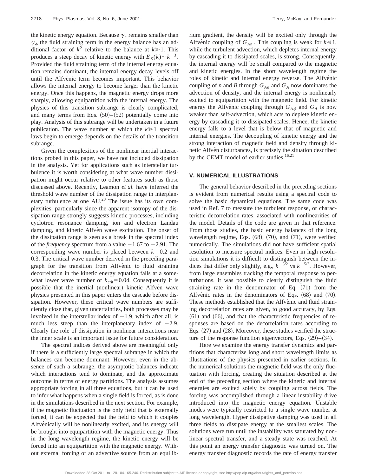the kinetic energy equation. Because  $\gamma_n$  remains smaller than  $\gamma_{\phi}$  the fluid straining term in the energy balance has an additional factor of  $k^2$  relative to the balance at  $k \ge 1$ . This produces a steep decay of kinetic energy with  $E_K(k) \sim k^{-3}$ . Provided the fluid straining term of the internal energy equation remains dominant, the internal energy decay levels off until the Alfvénic term becomes important. This behavior allows the internal energy to become larger than the kinetic energy. Once this happens, the magnetic energy drops more sharply, allowing equipartition with the internal energy. The physics of this transition subrange is clearly complicated, and many terms from Eqs.  $(50)–(52)$  potentially come into play. Analysis of this subrange will be undertaken in a future publication. The wave number at which the  $k \geq 1$  spectral laws begin to emerge depends on the details of the transition subrange.

Given the complexities of the nonlinear inertial interactions probed in this paper, we have not included dissipation in the analysis. Yet for applications such as interstellar turbulence it is worth considering at what wave number dissipation might occur relative to other features such as those discussed above. Recently, Leamon *et al.* have inferred the threshold wave number of the dissipation range in interplanetary turbulence at one  $AU<sup>20</sup>$ . The issue has its own complexities, particularly since the apparent isotropy of the dissipation range strongly suggests kinetic processes, including cyclotron resonance damping, ion and electron Landau damping, and kinetic Alfven wave excitation. The onset of the dissipation range is seen as a break in the spectral index of the *frequency* spectrum from a value  $-1.67$  to  $-2.91$ . The corresponding wave number is placed between  $k=0.2$  and 0.3. The critical wave number derived in the preceding paragraph for the transition from Alfvenic to fluid straining decorrelation in the kinetic energy equation falls at a somewhat lower wave number of  $k_{\text{crit}}=0.04$ . Consequently it is possible that the inertial (nonlinear) kinetic Alfvén wave physics presented in this paper enters the cascade before dissipation. However, these critical wave numbers are sufficiently close that, given uncertainties, both processes may be involved in the interstellar index of  $-1.9$ , which after all, is much less steep than the interplanetary index of  $-2.9$ . Clearly the role of dissipation in nonlinear interactions near the inner scale is an important issue for future consideration.

The spectral indices derived above are meaningful only if there is a sufficiently large spectral subrange in which the balances can become dominant. However, even in the absence of such a subrange, the asymptotic balances indicate which interactions tend to dominate, and the approximate outcome in terms of energy partitions. The analysis assumes appropriate forcing in all three equations, but it can be used to infer what happens when a single field is forced, as is done in the simulations described in the next section. For example, if the magnetic fluctuation is the only field that is externally forced, it can be expected that the field to which it couples Alfvénically will be nonlinearly excited, and its energy will be brought into equipartition with the magnetic energy. Thus in the long wavelength regime, the kinetic energy will be forced into an equipartition with the magnetic energy. Without external forcing or an advective source from an equilibrium gradient, the density will be excited only through the Alfve´nic coupling of  $G_{An}$ . This coupling is weak for  $k \ll 1$ , while the turbulent advection, which depletes internal energy by cascading it to dissipated scales, is strong. Consequently, the internal energy will be small compared to the magnetic and kinetic energies. In the short wavelength regime the roles of kinetic and internal energy reverse. The Alfvénic coupling of *n* and *B* through  $G_{An}$  and  $G_A$  now dominates the advection of density, and the internal energy is nonlinearly excited to equipartition with the magnetic field. For kinetic energy the Alfve<sup>nic</sup> coupling through  $G_{A\phi}$  and  $G_A$  is now weaker than self-advection, which acts to deplete kinetic energy by cascading it to dissipated scales. Hence, the kinetic energy falls to a level that is below that of magnetic and internal energies. The decoupling of kinetic energy and the strong interaction of magnetic field and density through kinetic Alfven disturbances, is precisely the situation described by the CEMT model of earlier studies. $16,21$ 

#### **V. NUMERICAL ILLUSTRATIONS**

The general behavior described in the preceding sections is evident from numerical results using a spectral code to solve the basic dynamical equations. The same code was used in Ref. 7 to measure the turbulent response, or characteristic decorrelation rates, associated with nonlinearities of the model. Details of the code are given in that reference. From those studies, the basic energy balances of the long wavelength regime, Eqs.  $(68)$ ,  $(70)$ , and  $(71)$ , were verified numerically. The simulations did not have sufficient spatial resolution to measure spectral indices. Even in high resolution simulations it is difficult to distinguish between the indices that differ only slightly, e.g.,  $k^{-3/2}$  vs  $k^{-5/3}$ . However, from large ensembles tracking the temporal response to perturbations, it was possible to clearly distinguish the fluid straining rate in the denominator of Eq.  $(71)$  from the Alfve $\acute{e}$ nic rates in the denominators of Eqs.  $(68)$  and  $(70)$ . These methods established that the Alfvénic and fluid straining decorrelation rates are given, to good accuracy, by Eqs.  $(61)$  and  $(66)$ , and that the characteristic frequencies of responses are based on the decorrelation rates according to Eqs.  $(27)$  and  $(28)$ . Moreover, these studies verified the structure of the response function eigenvectors, Eqs.  $(29)$ – $(34)$ .

Here we examine the energy transfer dynamics and partitions that characterize long and short wavelength limits as illustrations of the physics presented in earlier sections. In the numerical solutions the magnetic field was the only fluctuation with forcing, creating the situation described at the end of the preceding section where the kinetic and internal energies are excited solely by coupling across fields. The forcing was accomplished through a linear instability drive introduced into the magnetic energy equation. Unstable modes were typically restricted to a single wave number at long wavelength. Hyper dissipative damping was used in all three fields to dissipate energy at the smallest scales. The solutions were run until the instability was saturated by nonlinear spectral transfer, and a steady state was reached. At this point an energy transfer diagnostic was turned on. The energy transfer diagnostic records the rate of energy transfer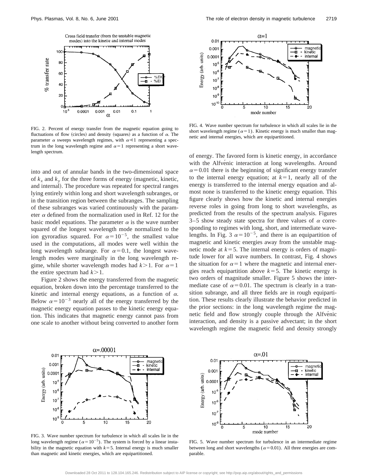

FIG. 2. Percent of energy transfer from the magnetic equation going to fluctuations of flow (circles) and density (squares) as a function of  $\alpha$ . The parameter  $\alpha$  sweeps wavelength regimes, with  $\alpha \leq 1$  representing a spectrum in the long wavelength regime and  $\alpha=1$  representing a short wavelength spectrum.

into and out of annular bands in the two-dimensional space of  $k_x$  and  $k_y$  for the three forms of energy (magnetic, kinetic, and internal). The procedure was repeated for spectral ranges lying entirely within long and short wavelength subranges, or in the transition region between the subranges. The sampling of these subranges was varied continuously with the parameter  $\alpha$  defined from the normalization used in Ref. 12 for the basic model equations. The parameter  $\alpha$  is the wave number squared of the longest wavelength mode normalized to the ion gyroradius squared. For  $\alpha=10^{-5}$ , the smallest value used in the computations, all modes were well within the long wavelength subrange. For  $\alpha=0.1$ , the longest wavelength modes were marginally in the long wavelength regime, while shorter wavelength modes had  $k > 1$ . For  $\alpha = 1$ the entire spectrum had  $k > 1$ .

Figure 2 shows the energy transferred from the magnetic equation, broken down into the percentage transferred to the kinetic and internal energy equations, as a function of  $\alpha$ . Below  $\alpha=10^{-3}$  nearly all of the energy transferred by the magnetic energy equation passes to the kinetic energy equation. This indicates that magnetic energy cannot pass from one scale to another without being converted to another form



FIG. 4. Wave number spectrum for turbulence in which all scales lie in the short wavelength regime ( $\alpha=1$ ). Kinetic energy is much smaller than magnetic and internal energies, which are equipartitioned.

of energy. The favored form is kinetic energy, in accordance with the Alfvenic interaction at long wavelengths. Around  $\alpha$ =0.01 there is the beginning of significant energy transfer to the internal energy equation; at  $k=1$ , nearly all of the energy is transferred to the internal energy equation and almost none is transferred to the kinetic energy equation. This figure clearly shows how the kinetic and internal energies reverse roles in going from long to short wavelengths, as predicted from the results of the spectrum analysis. Figures 3–5 show steady state spectra for three values of  $\alpha$  corresponding to regimes with long, short, and intermediate wavelengths. In Fig. 3  $\alpha = 10^{-5}$ , and there is an equipartition of magnetic and kinetic energies away from the unstable magnetic mode at  $k=5$ . The internal energy is orders of magnitude lower for all wave numbers. In contrast, Fig. 4 shows the situation for  $\alpha=1$  where the magnetic and internal energies reach equipartition above  $k=5$ . The kinetic energy is two orders of magnitude smaller. Figure 5 shows the intermediate case of  $\alpha$ =0.01. The spectrum is clearly in a transition subrange, and all three fields are in rough equipartition. These results clearly illustrate the behavior predicted in the prior sections: in the long wavelength regime the magnetic field and flow strongly couple through the Alfvénic interaction, and density is a passive advectant; in the short wavelength regime the magnetic field and density strongly



FIG. 3. Wave number spectrum for turbulence in which all scales lie in the long wavelength regime ( $\alpha=10^{-5}$ ). The system is forced by a linear instability in the magnetic equation with  $k=5$ . Internal energy is much smaller than magnetic and kinetic energies, which are equipartitioned.



FIG. 5. Wave number spectrum for turbulence in an intermediate regime between long and short wavelengths ( $\alpha$ =0.01). All three energies are comparable.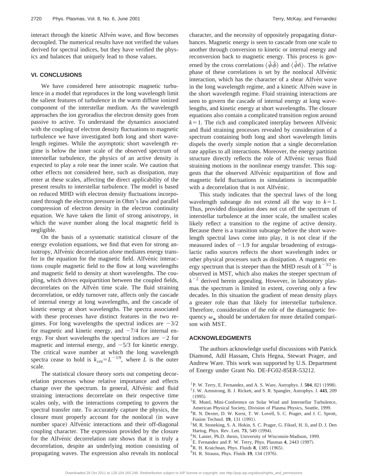ics and balances that uniquely lead to those values.

interact through the kinetic Alfvén wave, and flow becomes decoupled. The numerical results have not verified the values derived for spectral indices, but they have verified the phys-

#### **VI. CONCLUSIONS**

We have considered here anisotropic magnetic turbulence in a model that reproduces in the long wavelength limit the salient features of turbulence in the warm diffuse ionized component of the interstellar medium. As the wavelength approaches the ion gyroradius the electron density goes from passive to active. To understand the dynamics associated with the coupling of electron density fluctuations to magnetic turbulence we have investigated both long and short wavelength regimes. While the asymptotic short wavelength regime is below the inner scale of the observed spectrum of interstellar turbulence, the physics of an active density is expected to play a role near the inner scale. We caution that other effects not considered here, such as dissipation, may enter at these scales, affecting the direct applicability of the present results to interstellar turbulence. The model is based on reduced MHD with electron density fluctuations incorporated through the electron pressure in Ohm's law and parallel compression of electron density in the electron continuity equation. We have taken the limit of strong anisotropy, in which the wave number along the local magnetic field is negligible.

On the basis of a systematic statistical closure of the energy evolution equations, we find that even for strong anisotropy, Alfvénic decorrelation *alone* mediates energy transfer in the equation for the magnetic field. Alfvenic interactions couple magnetic field to the flow at long wavelengths and magnetic field to density at short wavelengths. The coupling, which drives equipartition between the coupled fields, decorrelates on the Alfvén time scale. The fluid straining decorrelation, or eddy turnover rate, affects only the cascade of internal energy at long wavelengths, and the cascade of kinetic energy at short wavelengths. The spectra associated with these processes have distinct features in the two regimes. For long wavelengths the spectral indices are  $-3/2$ for magnetic and kinetic energy, and  $-7/4$  for internal energy. For short wavelengths the spectral indices are  $-2$  for magnetic and internal energy, and  $-5/3$  for kinetic energy. The critical wave number at which the long wavelength spectra cease to hold is  $k_{\text{crit}} = L^{-1/9}$ , where *L* is the outer scale.

The statistical closure theory sorts out competing decorrelation processes whose relative importance and effects change over the spectrum. In general, Alfvénic and fluid straining interactions decorrelate on their respective time scales only, with the interactions competing to govern the spectral transfer rate. To accurately capture the physics, the closure must properly account for the nonlocal (in wave number space) Alfvenic interactions and their off-diagonal coupling character. The expression provided by the closure for the Alfvénic decorrelation rate shows that it is truly a decorrelation, despite an underlying motion consisting of propagating waves. The expression also reveals its nonlocal character, and the necessity of oppositely propagating disturbances. Magnetic energy is seen to cascade from one scale to another through conversion to kinetic or internal energy and reconversion back to magnetic energy. This process is governed by the cross correlations  $\langle \hat{\psi} \hat{\phi} \rangle$  and  $\langle \hat{\psi} \hat{n} \rangle$ . The relative phase of these correlations is set by the nonlocal Alfvénic interaction, which has the character of a shear Alfvén wave in the long wavelength regime, and a kinetic Alfven wave in the short wavelength regime. Fluid straining interactions are seen to govern the cascade of internal energy at long wavelengths, and kinetic energy at short wavelengths. The closure equations also contain a complicated transition region around  $k=1$ . The rich and complicated interplay between Alfve $\epsilon$ nic and fluid straining processes revealed by consideration of a spectrum containing both long and short wavelength limits dispels the overly simple notion that a single decorrelation rate applies to all interactions. Moreover, the energy partition structure directly reflects the role of Alfvénic versus fluid straining motions in the nonlinear energy transfer. This suggests that the observed Alfvenic equipartition of flow and magnetic field fluctuations in simulations is incompatible with a decorrelation that is not Alfvénic.

This study indicates that the spectral laws of the long wavelength subrange do not extend all the way to  $k=1$ . Thus, provided dissipation does not cut off the spectrum of interstellar turbulence at the inner scale, the smallest scales likely reflect a transition to the regime of active density. Because there is a transition subrange before the short wavelength spectral laws come into play, it is not clear if the measured index of  $-1.9$  for angular broadening of extragalactic radio sources reflects the short wavelength index or other physical processes such as dissipation. A magnetic energy spectrum that is steeper than the MHD result of  $k^{-3/2}$  is observed in MST, which also makes the steeper spectrum of  $k^{-2}$  derived herein appealing. However, in laboratory plasmas the spectrum is limited in extent, covering only a few decades. In this situation the gradient of mean density plays a greater role than that likely for interstellar turbulence. Therefore, consideration of the role of the diamagnetic frequency  $\omega_*$  should be undertaken for more detailed comparison with MST.

#### **ACKNOWLEDGMENTS**

The authors acknowledge useful discussions with Patrick Diamond, Adil Hassam, Chris Hegna, Stewart Prager, and Andrew Ware. This work was supported by U.S. Department of Energy under Grant No. DE-FG02-85ER-53212.

- <sup>1</sup>P. W. Terry, E. Fernandez, and A. S. Ware, Astrophys. J. **504**, 821 (1998). 2J. W. Armstrong, B. J. Rickett, and S. R. Spangler, Astrophys. J. **443**, 209  $(1995).$
- <sup>3</sup>R. Mutel, Mini-Conference on Solar Wind and Interstellar Turbulence, American Physical Society, Division of Plasma Physics, Seattle, 1999.
- 4R. N. Dexter, D. W. Kerst, T. W. Lovell, S. C. Prager, and J. C. Sprott,
- Fusion Technol. **19**, 131 (1991).
- <sup>5</sup>M. R. Stoneking, S. A. Hokin, S. C. Prager, G. Fiksel, H. Ji, and D. J. Den Hartog, Phys. Rev. Lett. **73**, 549 (1994).
- 6N. Lanier, Ph.D. thesis, University of Wisconsin-Madison, 1999.
- ${}^{7}E$ . Fernandez and P. W. Terry, Phys. Plasmas 4, 2443 (1997).
- <sup>8</sup>R. H. Kraichnan, Phys. Fluids 8, 1385 (1965).
- <sup>9</sup>H. R. Strauss, Phys. Fluids **19**, 134 (1976).